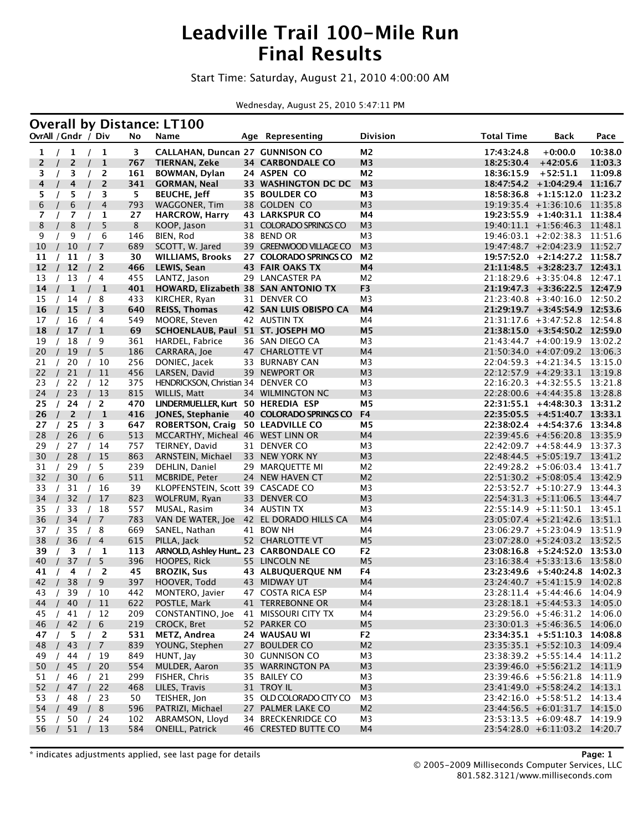### **Leadville Trail 100-Mile Run Final Results**

#### Start Time: Saturday, August 21, 2010 4:00:00 AM

Wednesday, August 25, 2010 5:47:11 PM

|                     |          |          |                |                |            | <b>Overall by Distance: LT100</b>                  |                                         |                |                   |                                                                |         |
|---------------------|----------|----------|----------------|----------------|------------|----------------------------------------------------|-----------------------------------------|----------------|-------------------|----------------------------------------------------------------|---------|
| OvrAll / Gndr / Div |          |          |                |                | No         | Name                                               | Age Representing                        | Division       | <b>Total Time</b> | Back                                                           | Pace    |
| 1                   |          | 1        | $\sqrt{ }$     | -1             | 3          | CALLAHAN, Duncan 27 GUNNISON CO                    |                                         | M2             | 17:43:24.8        | $+0:00.0$                                                      | 10:38.0 |
| 2                   |          | 2        |                | $\mathbf{1}$   | 767        | <b>TIERNAN, Zeke</b>                               | <b>34 CARBONDALE CO</b>                 | M <sub>3</sub> | 18:25:30.4        | $+42:05.6$                                                     | 11:03.3 |
| 3                   |          | 3        |                | 2              | 161        | <b>BOWMAN, Dylan</b>                               | 24 ASPEN CO                             | M2             | 18:36:15.9        | $+52:51.1$                                                     | 11:09.8 |
| 4                   |          | 4        |                | 2              | 341        | <b>GORMAN, Neal</b>                                | 33 WASHINGTON DC DC                     | M <sub>3</sub> | 18:47:54.2        | $+1:04:29.4$ 11:16.7                                           |         |
| 5                   |          | 5        |                | 3              | 5.         | <b>BEUCHE, Jeff</b>                                | <b>35 BOULDER CO</b>                    | M3             | 18:58:36.8        | +1:15:12.0 11:23.2                                             |         |
| 6                   |          | 6        |                | 4              | 793        | WAGGONER, Tim                                      | 38 GOLDEN CO                            | M <sub>3</sub> |                   | $19:19:35.4$ +1:36:10.6 11:35.8                                |         |
| 7                   |          | 7        |                | 1              | 27         | <b>HARCROW, Harry</b>                              | <b>43 LARKSPUR CO</b>                   | M4             |                   | $19:23:55.9$ +1:40:31.1 11:38.4                                |         |
| 8                   |          | 8        |                | 5              | 8          | KOOP, Jason                                        | 31 COLORADO SPRINGS CO                  | M <sub>3</sub> |                   | $19:40:11.1 + 1:56:46.3$                                       | 11:48.1 |
| 9                   |          | 9        |                | 6              | 146        | BIEN, Rod                                          | 38 BEND OR                              | M <sub>3</sub> |                   | $19:46:03.1 + 2:02:38.3 \quad 11:51.6$                         |         |
| 10                  |          | 10       | $\prime$       | 7              | 689        | SCOTT, W. Jared                                    | 39 GREENWOOD VILLAGE CO                 | M <sub>3</sub> |                   | 19:47:48.7 +2:04:23.9 11:52.7                                  |         |
| 11                  |          | 11       |                | 3              | 30         | <b>WILLIAMS, Brooks</b>                            | 27 COLORADO SPRINGS CO                  | M2             |                   | $19:57:52.0 +2:14:27.2$ 11:58.7                                |         |
| 12                  | $\prime$ | 12       |                | 2              | 466        | LEWIS, Sean                                        | <b>43 FAIR OAKS TX</b>                  | M4             |                   | $21:11:48.5$ +3:28:23.7 12:43.1                                |         |
| 13                  |          | 13       |                | - 4            | 455        | LANTZ, Jason                                       | 29 LANCASTER PA                         | M2             |                   | $21:18:29.6$ +3:35:04.8 12:47.1                                |         |
| 14                  |          | 1        |                | $\mathbf{1}$   | 401        | HOWARD, Elizabeth 38 SAN ANTONIO TX                |                                         | F <sub>3</sub> |                   | 21:19:47.3 +3:36:22.5 12:47.9                                  |         |
| 15                  |          | 14       | /8<br>$\prime$ |                | 433        | KIRCHER, Ryan                                      | 31 DENVER CO                            | M <sub>3</sub> |                   | $21:23:40.8$ +3:40:16.0 12:50.2                                |         |
| 16                  | $\prime$ | 15       |                | 3              | 640<br>549 | <b>REISS, Thomas</b>                               | 42 SAN LUIS OBISPO CA                   | M4<br>M4       |                   | 21:29:19.7 +3:45:54.9 12:53.6<br>21:31:17.6 +3:47:52.8 12:54.8 |         |
| 17<br>18            |          | / 16     | /4<br>$\prime$ |                | 69         | MOORE, Steven<br>SCHOENLAUB, Paul 51 ST. JOSEPH MO | 42 AUSTIN TX                            | M <sub>5</sub> |                   | $21:38:15.0 + 3:54:50.2$ 12:59.0                               |         |
| 19                  |          | 17       |                | 1              | 361        |                                                    |                                         | M3             |                   | $21:43:44.7$ $+4:00:19.9$ 13:02.2                              |         |
| 20                  |          | 18<br>19 |                | -9<br>5        | 186        | HARDEL, Fabrice<br>CARRARA, Joe                    | 36 SAN DIEGO CA<br>47 CHARLOTTE VT      | M4             |                   | $21:50:34.0 +4:07:09.2$                                        | 13:06.3 |
| 21                  |          | 20       |                | 10             | 256        | DONIEC, Jacek                                      | 33 BURNABY CAN                          | M <sub>3</sub> |                   | $22:04:59.3 +4:21:34.5$                                        | 13:15.0 |
| 22                  |          | 21       | $\sqrt{ }$     | 11             | 456        | LARSEN, David                                      | 39 NEWPORT OR                           | M <sub>3</sub> |                   | 22:12:57.9 +4:29:33.1 13:19.8                                  |         |
| 23                  |          | 22       |                | 12             | 375        | HENDRICKSON, Christian 34 DENVER CO                |                                         | M3             |                   | $22:16:20.3$ +4:32:55.5                                        | 13:21.8 |
| 24                  | $\prime$ | 23       |                | 13             | 815        | WILLIS, Matt                                       | 34 WILMINGTON NC                        | M <sub>3</sub> |                   | $22:28:00.6$ +4:44:35.8 13:28.8                                |         |
| 25                  |          | 24       | $\frac{1}{2}$  |                | 470        | LINDERMUELLER, Kurt 50 HEREDIA ESP                 |                                         | M5             |                   | 22:31:55.1 +4:48:30.3 13:31.2                                  |         |
| 26                  |          | 2        |                | $\mathbf{1}$   | 416        | JONES, Stephanie                                   | 40 COLORADO SPRINGS CO                  | F4             | 22:35:05.5        | +4:51:40.7 13:33.1                                             |         |
| 27                  |          | 25       |                | 3              | 647        | <b>ROBERTSON, Craig</b>                            | <b>50 LEADVILLE CO</b>                  | M5             |                   | 22:38:02.4 +4:54:37.6 13:34.8                                  |         |
| 28                  |          | 26       | $\prime$       | 6              | 513        | MCCARTHY, Micheal 46 WEST LINN OR                  |                                         | M4             |                   | 22:39:45.6 +4:56:20.8 13:35.9                                  |         |
| 29                  |          | 27       |                | 14             | 757        | TEIRNEY, David                                     | 31 DENVER CO                            | M3             |                   | 22:42:09.7 +4:58:44.9 13:37.3                                  |         |
| 30                  |          | 28       |                | 15             | 863        | ARNSTEIN, Michael                                  | 33 NEW YORK NY                          | M <sub>3</sub> |                   | 22:48:44.5 +5:05:19.7 13:41.2                                  |         |
| 31                  |          | 29       |                | 5              | 239        | DEHLIN, Daniel                                     | 29 MARQUETTE MI                         | M2             |                   | $22:49:28.2 + 5:06:03.4$ 13:41.7                               |         |
| 32                  |          | 30       |                | 6              | 511        | MCBRIDE, Peter                                     | 24 NEW HAVEN CT                         | M <sub>2</sub> |                   | 22:51:30.2 +5:08:05.4 13:42.9                                  |         |
| 33                  |          | 31       |                | 16             | 39         | KLOPFENSTEIN, Scott 39 CASCADE CO                  |                                         | M <sub>3</sub> |                   | $22:53:52.7 + 5:10:27.9$ 13:44.3                               |         |
| 34                  |          | 32       | $\prime$       | 17             | 823        | WOLFRUM, Ryan                                      | 33 DENVER CO                            | M <sub>3</sub> |                   | $22:54:31.3$ +5:11:06.5 13:44.7                                |         |
| 35                  |          | 33       |                | 18             | 557        | MUSAL, Rasim                                       | 34 AUSTIN TX                            | M3             |                   | 22:55:14.9 +5:11:50.1 13:45.1                                  |         |
| 36                  |          | 34       |                | 7              | 783        |                                                    | VAN DE WATER, Joe 42 EL DORADO HILLS CA | M4             |                   | $23:05:07.4$ +5:21:42.6                                        | 13:51.1 |
| 37                  |          | 35       | $\prime$       | - 8            | 669        | SANEL, Nathan                                      | 41 BOW NH                               | M4             |                   | 23:06:29.7 +5:23:04.9 13:51.9                                  |         |
| 38                  |          | 36       |                | 4              | 615        | PILLA, Jack                                        | 52 CHARLOTTE VT                         | M <sub>5</sub> |                   | 23:07:28.0 +5:24:03.2 13:52.5                                  |         |
| 39                  |          | 3        |                | 1              | 113        | ARNOLD, Ashley Hunt 23 CARBONDALE CO               |                                         | F2             |                   | $23:08:16.8$ +5:24:52.0 13:53.0                                |         |
| 40                  |          | 37       |                | 5              | 396        | HOOPES, Rick                                       | 55 LINCOLN NE                           | M <sub>5</sub> |                   | $23:16:38.4$ +5:33:13.6 13:58.0                                |         |
| 41                  |          | 4        |                | 2              | 45         | <b>BROZIK, Sus</b>                                 | <b>43 ALBUQUERQUE NM</b>                | F4             |                   | $23:23:49.6$ +5:40:24.8 14:02.3                                |         |
| 42                  |          | 38       |                | 9              | 397        | HOOVER, Todd                                       | 43 MIDWAY UT                            | M4             |                   | 23:24:40.7 +5:41:15.9 14:02.8                                  |         |
| 43                  |          | 39 / 10  |                |                | 442        | MONTERO, Javier                                    | 47 COSTA RICA ESP                       | M4             |                   | 23:28:11.4 +5:44:46.6 14:04.9                                  |         |
| 44                  |          | 40       | $\overline{1}$ | 11             | 622        | POSTLE, Mark                                       | 41 TERREBONNE OR                        | M4             |                   | $23:28:18.1 + 5:44:53.3$ 14:05.0                               |         |
| 45                  |          | 41       |                | 12             | 209        | CONSTANTINO, Joe                                   | 41 MISSOURI CITY TX                     | M4             |                   | $23:29:56.0 + 5:46:31.2$ 14:06.0                               |         |
| 46                  |          | 42/      |                | 6              | 219        | CROCK, Bret                                        | 52 PARKER CO                            | M <sub>5</sub> |                   | 23:30:01.3 +5:46:36.5 14:06.0                                  |         |
| 47                  | $\prime$ | -5       | $\prime$       | $\overline{2}$ | 531        | METZ, Andrea                                       | 24 WAUSAU WI                            | F <sub>2</sub> |                   | 23:34:35.1 +5:51:10.3 14:08.8                                  |         |
| 48                  |          | 43       |                | /7             | 839        | YOUNG, Stephen                                     | 27 BOULDER CO                           | M <sub>2</sub> |                   | 23:35:35.1 +5:52:10.3 14:09.4                                  |         |
| 49                  |          | 44       | $\prime$       | -19            | 849        | HUNT, Jay                                          | 30 GUNNISON CO                          | M3             |                   | 23:38:39.2 +5:55:14.4 14:11.2                                  |         |
| 50                  | $\prime$ | 45       | $\prime$       | 20             | 554        | MULDER, Aaron                                      | 35 WARRINGTON PA                        | M <sub>3</sub> |                   | 23:39:46.0 +5:56:21.2 14:11.9                                  |         |
| 51                  |          | 46       |                | 21             | 299        | FISHER, Chris                                      | 35 BAILEY CO                            | M3             |                   | $23:39:46.6 + 5:56:21.8$ 14:11.9                               |         |
| 52                  |          | 47/      |                | 22             | 468        | LILES, Travis                                      | 31 TROY IL                              | M <sub>3</sub> |                   | 23:41:49.0 +5:58:24.2 14:13.1                                  |         |
| 53                  | $\prime$ | 48       |                | /23            | 50         | TEISHER, Jon                                       | 35 OLD COLORADO CITY CO                 | M <sub>3</sub> |                   | 23:42:16.0 +5:58:51.2 14:13.4                                  |         |
| 54                  |          | 49       |                | 8              | 596        | PATRIZI, Michael                                   | 27 PALMER LAKE CO                       | M <sub>2</sub> |                   | 23:44:56.5 +6:01:31.7 14:15.0                                  |         |
| 55                  |          | 50       |                | 24             | 102        | ABRAMSON, Lloyd                                    | 34 BRECKENRIDGE CO                      | M3             |                   | 23:53:13.5 +6:09:48.7 14:19.9                                  |         |
| 56                  | $\prime$ | 51       | $\sqrt{ }$     | 13             | 584        | <b>ONEILL, Patrick</b>                             | 46 CRESTED BUTTE CO                     | M4             |                   | 23:54:28.0 +6:11:03.2 14:20.7                                  |         |

\* indicates adjustments applied, see last page for details **Page: 1**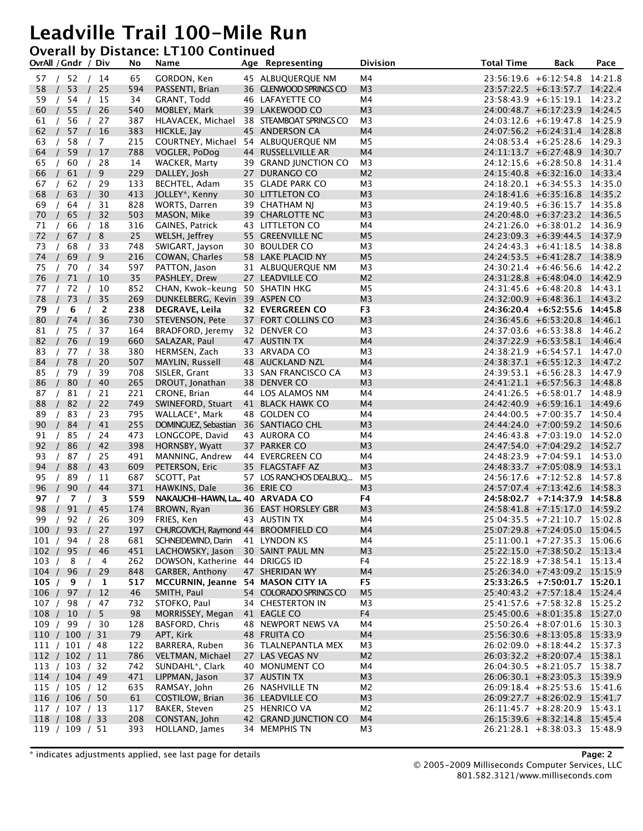#### **Overall by Distance: LT100 Continued**

|                  | OvrAll / Gndr / Div                              |                          | No        | Name                                            | Age Representing                          | <b>Division</b>      | <b>Total Time</b> | <b>Back</b>                                                    | Pace |
|------------------|--------------------------------------------------|--------------------------|-----------|-------------------------------------------------|-------------------------------------------|----------------------|-------------------|----------------------------------------------------------------|------|
|                  | 57 / 52 / 14                                     |                          | 65        | GORDON, Ken                                     | 45 ALBUQUERQUE NM                         | M4                   |                   | 23:56:19.6 +6:12:54.8 14:21.8                                  |      |
| 58               | 53<br>$\sqrt{ }$                                 | 25                       | 594       | PASSENTI, Brian                                 | 36 GLENWOOD SPRINGS CO                    | M <sub>3</sub>       |                   | 23:57:22.5 +6:13:57.7 14:22.4                                  |      |
| 59               | 54                                               | 15                       | 34        | GRANT, Todd                                     | 46 LAFAYETTE CO                           | M4                   |                   | 23:58:43.9 +6:15:19.1 14:23.2                                  |      |
| 60               | 55                                               | 26                       | 540       | MOBLEY, Mark                                    | 39 LAKEWOOD CO                            | M <sub>3</sub>       |                   | 24:00:48.7 +6:17:23.9 14:24.5                                  |      |
| 61               | 56                                               | 27                       | 387       |                                                 | HLAVACEK, Michael 38 STEAMBOAT SPRINGS CO | M <sub>3</sub>       |                   | 24:03:12.6 +6:19:47.8 14:25.9                                  |      |
| 62               | 57<br>$\left\langle \right\rangle$<br>$\sqrt{ }$ | 16                       | 383       | HICKLE, Jay                                     | 45 ANDERSON CA                            | M <sub>4</sub>       |                   | 24:07:56.2 +6:24:31.4 14:28.8                                  |      |
| 63               | 58                                               | /7                       | 215       | COURTNEY, Michael 54 ALBUQUERQUE NM             |                                           | M5                   |                   | 24:08:53.4 +6:25:28.6 14:29.3                                  |      |
| 64               | 59<br>$\sqrt{ }$                                 | 17<br>$\prime$           | 788       | VOGLER, PoDog                                   | 44 RUSSELLVILLE AR                        | M <sub>4</sub>       |                   | 24:11:13.7 +6:27:48.9 14:30.7                                  |      |
| 65               | 60                                               | 28                       | 14        | WACKER, Marty                                   | 39 GRAND JUNCTION CO                      | M3                   |                   | 24:12:15.6 +6:28:50.8 14:31.4                                  |      |
| 66               | 61                                               | 9                        | 229       | DALLEY, Josh                                    | 27 DURANGO CO                             | M <sub>2</sub>       |                   | 24:15:40.8 +6:32:16.0 14:33.4                                  |      |
| 67               | 62                                               | 29                       | 133       | BECHTEL, Adam                                   | 35 GLADE PARK CO                          | M <sub>3</sub>       |                   | 24:18:20.1 +6:34:55.3 14:35.0                                  |      |
| 68               | 63                                               | 30                       | 413       | JOLLEY*, Kenny                                  | 30 LITTLETON CO                           | M <sub>3</sub>       |                   | 24:18:41.6 +6:35:16.8 14:35.2                                  |      |
| 69<br>$\prime$   | 64                                               | 31<br>$\sqrt{ }$         | 828       | WORTS, Darren                                   | 39 CHATHAM NJ                             | M3                   |                   | 24:19:40.5 +6:36:15.7 14:35.8                                  |      |
| 70               | 65<br>$\prime$                                   | 32<br>$\prime$           | 503       | MASON, Mike                                     | 39 CHARLOTTE NC                           | M <sub>3</sub>       |                   | 24:20:48.0 +6:37:23.2 14:36.5                                  |      |
| 71               | 66                                               | 18                       | 316       | GAINES, Patrick                                 | 43 LITTLETON CO                           | M4                   |                   | 24:21:26.0 +6:38:01.2 14:36.9                                  |      |
| 72               | 67                                               | 8                        | 25        | WELSH, Jeffrey                                  | 55 GREENVILLE NC                          | M <sub>5</sub>       |                   | 24:23:09.3 +6:39:44.5 14:37.9                                  |      |
| 73               | 68                                               | 33                       | 748       | SWIGART, Jayson                                 | 30 BOULDER CO                             | M3<br>M <sub>5</sub> |                   | $24:24:43.3 +6:41:18.5$ 14:38.8                                |      |
| 74<br>75         | 69                                               | 9<br>$\prime$            | 216       | COWAN, Charles                                  | 58 LAKE PLACID NY<br>31 ALBUQUERQUE NM    |                      |                   | 24:24:53.5 +6:41:28.7 14:38.9<br>24:30:21.4 +6:46:56.6 14:42.2 |      |
|                  | 70                                               | 34<br>$\left  \right $   | 597<br>35 | PATTON, Jason                                   | 27 LEADVILLE CO                           | M3<br>M <sub>2</sub> |                   | 24:31:28.8 +6:48:04.0 14:42.9                                  |      |
| 76<br>77         | 71<br>$\sqrt{ }$<br>$\prime$<br>72               | 10<br>10                 | 852       | PASHLEY, Drew<br>CHAN, Kwok-keung 50 SHATIN HKG |                                           | M <sub>5</sub>       |                   | 24:31:45.6 +6:48:20.8 14:43.1                                  |      |
| 78               | 73                                               | 35                       | 269       | DUNKELBERG, Kevin 39 ASPEN CO                   |                                           | M <sub>3</sub>       |                   | 24:32:00.9 +6:48:36.1 14:43.2                                  |      |
| 79               | 6                                                | 2                        | 238       | DEGRAVE, Leila                                  | <b>32 EVERGREEN CO</b>                    | F3                   |                   | 24:36:20.4 +6:52:55.6 14:45.8                                  |      |
| 80               | 74                                               | 36                       | 730       | STEVENSON, Pete                                 | 37 FORT COLLINS CO                        | M <sub>3</sub>       |                   | 24:36:45.6 +6:53:20.8 14:46.1                                  |      |
| 81               | 75                                               | 37<br>$\sqrt{ }$         | 164       | BRADFORD, Jeremy                                | 32 DENVER CO                              | M3                   |                   | 24:37:03.6 +6:53:38.8 14:46.2                                  |      |
| 82               | 76                                               | 19<br>$\sqrt{ }$         | 660       | SALAZAR, Paul                                   | 47 AUSTIN TX                              | M <sub>4</sub>       |                   | 24:37:22.9 +6:53:58.1 14:46.4                                  |      |
| 83               | 77                                               | 38                       | 380       | HERMSEN, Zach                                   | 33 ARVADA CO                              | M <sub>3</sub>       |                   | 24:38:21.9 +6:54:57.1 14:47.0                                  |      |
| 84               | 78                                               | 20                       | 507       | MAYLIN, Russell                                 | 48 AUCKLAND NZL                           | M <sub>4</sub>       |                   | 24:38:37.1 +6:55:12.3 14:47.2                                  |      |
| 85               | 79                                               | 39                       | 708       | SISLER, Grant                                   | 33 SAN FRANCISCO CA                       | M3                   |                   | 24:39:53.1 +6:56:28.3 14:47.9                                  |      |
| 86               | 80                                               | 40                       | 265       | DROUT, Jonathan                                 | 38 DENVER CO                              | M <sub>3</sub>       |                   | 24:41:21.1 +6:57:56.3 14:48.8                                  |      |
| 87<br>$\sqrt{ }$ | 81                                               | 21<br>$\sqrt{ }$         | 221       | CRONE, Brian                                    | 44 LOS ALAMOS NM                          | M4                   |                   | 24:41:26.5 +6:58:01.7 14:48.9                                  |      |
| 88               | 82                                               | 22<br>$\prime$           | 749       | SWINEFORD, Stuart                               | 41 BLACK HAWK CO                          | M <sub>4</sub>       |                   | 24:42:40.9 +6:59:16.1 14:49.6                                  |      |
| 89               | 83                                               | 23                       | 795       | WALLACE*, Mark                                  | 48 GOLDEN CO                              | M4                   |                   | 24:44:00.5 +7:00:35.7 14:50.4                                  |      |
| 90               | 84                                               | 41                       | 255       | DOMINGUEZ, Sebastian 36 SANTIAGO CHL            |                                           | M <sub>3</sub>       |                   | 24:44:24.0 +7:00:59.2 14:50.6                                  |      |
| 91               | 85                                               | 24                       | 473       | LONGCOPE, David                                 | 43 AURORA CO                              | M4                   |                   | 24:46:43.8 +7:03:19.0 14:52.0                                  |      |
| 92               | 86                                               | 42                       | 398       | HORNSBY, Wyatt                                  | 37 PARKER CO                              | M <sub>3</sub>       |                   | 24:47:54.0 +7:04:29.2 14:52.7                                  |      |
| 93               | 87                                               | 25<br>$\sqrt{2}$         | 491       | MANNING, Andrew                                 | 44 EVERGREEN CO                           | M4                   |                   | $24:48:23.9$ +7:04:59.1 14:53.0                                |      |
| 94               | 88                                               | 43<br>$\prime$           | 609       | PETERSON, Eric                                  | 35 FLAGSTAFF AZ                           | M <sub>3</sub>       |                   | $24:48:33.7$ +7:05:08.9 14:53.1                                |      |
| 95               | 89                                               | 11                       | 687       | SCOTT, Pat                                      | 57 LOS RANCHOS DEALBUQ                    | M <sub>5</sub>       |                   | 24:56:17.6 +7:12:52.8 14:57.8                                  |      |
| 96               | 90                                               | 44                       | 371       | HAWKINS, Dale                                   | 36 ERIE CO                                | M <sub>3</sub>       |                   | 24:57:07.4 +7:13:42.6 14:58.3                                  |      |
| 97               | 7                                                | 3                        | 559       | NAKAUCHI-HAWN, La 40 ARVADA CO                  |                                           | F4                   |                   | 24:58:02.7 +7:14:37.9 14:58.8                                  |      |
| 98               | 91                                               | 45                       | 174       | BROWN, Ryan                                     | 36 EAST HORSLEY GBR                       | M <sub>3</sub>       |                   | 24:58:41.8 +7:15:17.0 14:59.2                                  |      |
| 99               | 92/<br>$\sqrt{ }$                                | 26                       | 309       | FRIES, Ken                                      | 43 AUSTIN TX                              | M4                   |                   | $25:04:35.5 +7:21:10.7$ 15:02.8                                |      |
|                  | 100 / 93 /                                       | 27                       | 197       | CHURGOVICH, Raymond 44 BROOMFIELD CO            |                                           | M <sub>4</sub>       |                   | 25:07:29.8 +7:24:05.0 15:04.5                                  |      |
| 101 /            | 94                                               | 28                       | 681       | SCHNEIDEWIND, Darin                             | 41 LYNDON KS                              | M4                   |                   | 25:11:00.1 +7:27:35.3 15:06.6                                  |      |
| 102 /            | 95                                               | 46                       | 451       | LACHOWSKY, Jason                                | 30 SAINT PAUL MN                          | M <sub>3</sub>       |                   | 25:22:15.0 +7:38:50.2 15:13.4                                  |      |
| 103 /            | -8                                               | $\overline{4}$           | 262       | DOWSON, Katherine 44 DRIGGS ID                  |                                           | F4                   |                   | 25:22:18.9 +7:38:54.1 15:13.4                                  |      |
| 104/             | 96                                               | 29                       | 848       | GARBER, Anthony                                 | 47 SHERIDAN WY                            | M <sub>4</sub>       |                   | 25:26:34.0 +7:43:09.2 15:15.9                                  |      |
| 105 / 9          |                                                  | $\mathbf{1}$<br>$\prime$ | 517       | MCCURNIN, Jeanne 54 MASON CITY IA               |                                           | F <sub>5</sub>       |                   | 25:33:26.5 +7:50:01.7 15:20.1                                  |      |
| 106 / 97         |                                                  | 12<br>$\left  \right $   | 46        | SMITH, Paul                                     | 54 COLORADO SPRINGS CO                    | M <sub>5</sub>       |                   | 25:40:43.2 +7:57:18.4 15:24.4                                  |      |
| 107/             | 98                                               | 47                       | 732       | STOFKO, Paul                                    | 34 CHESTERTON IN                          | M <sub>3</sub><br>F4 |                   | 25:41:57.6 +7:58:32.8 15:25.2                                  |      |
| 108 / 10         |                                                  | 5<br>/30                 | 98        | MORRISSEY, Megan                                | 41 EAGLE CO                               | M4                   |                   | 25:45:00.6 +8:01:35.8 15:27.0<br>25:50:26.4 +8:07:01.6 15:30.3 |      |
| 109 / 99         |                                                  |                          | 128<br>79 | BASFORD, Chris<br>APT, Kirk                     | 48 NEWPORT NEWS VA<br>48 FRUITA CO        | M <sub>4</sub>       |                   | 25:56:30.6 +8:13:05.8 15:33.9                                  |      |
|                  | 110 / 100 / 31<br>111 / 101 / 48                 |                          | 122       | BARRERA, Ruben                                  | 36 TLALNEPANTLA MEX                       | M <sub>3</sub>       |                   | 26:02:09.0 +8:18:44.2 15:37.3                                  |      |
|                  | 112 / 102 / 11                                   |                          | 786       | VELTMAN, Michael                                | 27 LAS VEGAS NV                           | M <sub>2</sub>       |                   | 26:03:32.2 +8:20:07.4 15:38.1                                  |      |
|                  | 113 / 103 / 32                                   |                          | 742       | SUNDAHL <sup>*</sup> , Clark                    | 40 MONUMENT CO                            | M4                   |                   | 26:04:30.5 +8:21:05.7 15:38.7                                  |      |
|                  | 114 / 104 / 49                                   |                          | 471       | LIPPMAN, Jason                                  | 37 AUSTIN TX                              | M <sub>3</sub>       |                   | $26:06:30.1 + 8:23:05.3$ 15:39.9                               |      |
|                  | 115 / 105 / 12                                   |                          | 635       | RAMSAY, John                                    | 26 NASHVILLE TN                           | M <sub>2</sub>       |                   | $26:09:18.4 + 8:25:53.6$ 15:41.6                               |      |
|                  | 116 / 106 / 50                                   |                          | 61        | COSTILOW, Brian                                 | 36 LEADVILLE CO                           | M <sub>3</sub>       |                   | 26:09:27.7 +8:26:02.9 15:41.7                                  |      |
|                  | 117 / 107 / 13                                   |                          | 117       | BAKER, Steven                                   | 25 HENRICO VA                             | M2                   |                   | 26:11:45.7 +8:28:20.9 15:43.1                                  |      |
|                  | 118 / 108 / 33                                   |                          | 208       | CONSTAN, John                                   | 42 GRAND JUNCTION CO                      | M4                   |                   | 26:15:39.6 +8:32:14.8 15:45.4                                  |      |
|                  | 119 / 109 / 51                                   |                          | 393       | HOLLAND, James                                  | 34 MEMPHIS TN                             | M <sub>3</sub>       |                   | 26:21:28.1 +8:38:03.3 15:48.9                                  |      |
|                  |                                                  |                          |           |                                                 |                                           |                      |                   |                                                                |      |

\* indicates adjustments applied, see last page for details **Page: 2**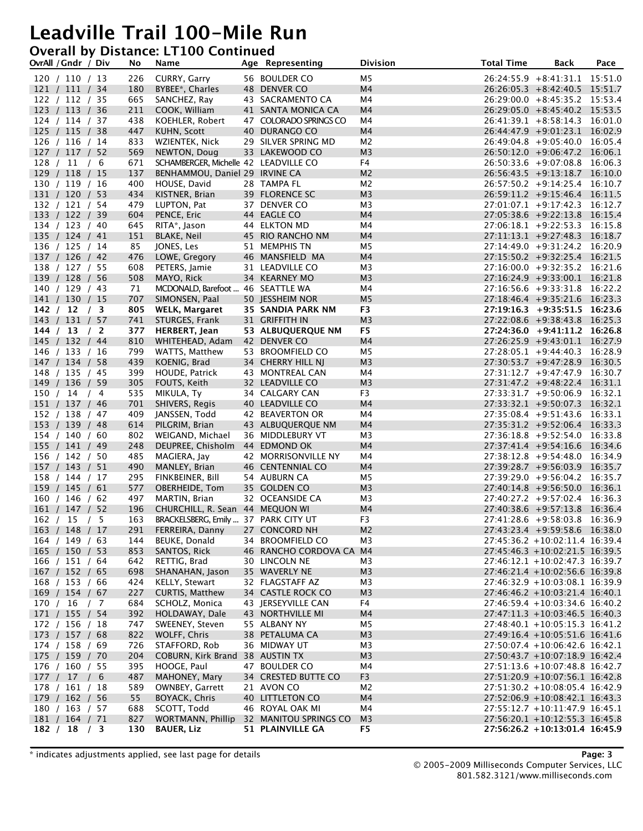#### **Overall by Distance: LT100 Continued**

| OvrAll / Gndr / Div              | No         | Name                                                  | Age Representing                           | <b>Division</b>                  | <b>Total Time</b> | Back                                                              | Pace |
|----------------------------------|------------|-------------------------------------------------------|--------------------------------------------|----------------------------------|-------------------|-------------------------------------------------------------------|------|
| 120 / 110 / 13                   | 226        | CURRY, Garry                                          | 56 BOULDER CO                              | M5                               |                   | $26:24:55.9 + 8:41:31.1$ 15:51.0                                  |      |
| 121 / 111 / 34                   | 180        | BYBEE*, Charles                                       | 48 DENVER CO                               | M <sub>4</sub>                   |                   | $26:26:05.3 + 8:42:40.5$ 15:51.7                                  |      |
| 122 / 112 / 35                   | 665        | SANCHEZ, Ray                                          | 43 SACRAMENTO CA                           | M4                               |                   | 26:29:00.0 +8:45:35.2 15:53.4                                     |      |
| 123 / 113 / 36                   | 211        | COOK, William                                         | 41 SANTA MONICA CA                         | M4                               |                   | $26:29:05.0 + 8:45:40.2$ 15:53.5                                  |      |
| 124 / 114 / 37                   | 438        | KOEHLER, Robert                                       | 47 COLORADO SPRINGS CO                     | M4                               |                   | $26:41:39.1 + 8:58:14.3$ 16:01.0                                  |      |
| 125 / 115 / 38                   | 447        | KUHN, Scott                                           | 40 DURANGO CO                              | M4                               |                   | 26:44:47.9 +9:01:23.1 16:02.9                                     |      |
| 126 / 116 / 14                   | 833        | WZIENTEK, Nick                                        | 29 SILVER SPRING MD                        | M <sub>2</sub>                   |                   | 26:49:04.8 +9:05:40.0 16:05.4                                     |      |
| 127 / 117 / 52                   | 569<br>671 | NEWTON, Doug<br>SCHAMBERGER, Michelle 42 LEADVILLE CO | 33 LAKEWOOD CO                             | M <sub>3</sub><br>F4             |                   | 26:50:12.0 +9:06:47.2 16:06.1<br>26:50:33.6 +9:07:08.8 16:06.3    |      |
| 128 / 11 / 6<br>129 / 118 / 15   | 137        | BENHAMMOU, Daniel 29 IRVINE CA                        |                                            | M <sub>2</sub>                   |                   | $26:56:43.5 +9:13:18.7$ 16:10.0                                   |      |
| 130 / 119 / 16                   | 400        | HOUSE, David                                          | 28 TAMPA FL                                | M <sub>2</sub>                   |                   | 26:57:50.2 +9:14:25.4 16:10.7                                     |      |
| 131 / 120 / 53                   | 434        | KISTNER, Brian                                        | 39 FLORENCE SC                             | M <sub>3</sub>                   |                   | 26:59:11.2 +9:15:46.4 16:11.5                                     |      |
| 132 / 121 / 54                   | 479        | LUPTON, Pat                                           | 37 DENVER CO                               | M3                               |                   | 27:01:07.1 +9:17:42.3 16:12.7                                     |      |
| 133 / 122 / 39                   | 604        | PENCE, Eric                                           | 44 EAGLE CO                                | M <sub>4</sub>                   |                   | 27:05:38.6 +9:22:13.8 16:15.4                                     |      |
| 134 / 123 / 40                   | 645        | RITA*, Jason                                          | 44 ELKTON MD                               | M4                               |                   | $27:06:18.1 + 9:22:53.3$ 16:15.8                                  |      |
| 135 / 124 / 41                   | 151        | <b>BLAKE, Neil</b>                                    | 45 RIO RANCHO NM                           | M4                               |                   | 27:11:13.1 +9:27:48.3 16:18.7                                     |      |
| 136 / 125 / 14                   | 85         | JONES, Les                                            | 51 MEMPHIS TN                              | M5                               |                   | $27:14:49.0 +9:31:24.2$ 16:20.9                                   |      |
| 137 / 126 / 42                   | 476        | LOWE, Gregory                                         | 46 MANSFIELD MA                            | M4                               |                   | 27:15:50.2 +9:32:25.4 16:21.5                                     |      |
| 138 / 127 / 55                   | 608        | PETERS, Jamie                                         | 31 LEADVILLE CO                            | M3                               |                   | 27:16:00.0 +9:32:35.2 16:21.6                                     |      |
| 139 / 128 / 56                   | 508        | MAYO, Rick                                            | 34 KEARNEY MO                              | M <sub>3</sub>                   |                   | 27:16:24.9 +9:33:00.1 16:21.8                                     |      |
| 140 / 129 / 43                   | 71         | MCDONALD, Barefoot  46 SEATTLE WA                     |                                            | M4                               |                   | 27:16:56.6 +9:33:31.8 16:22.2                                     |      |
| 141 / 130 / 15                   | 707        | SIMONSEN, Paal                                        | 50 JESSHEIM NOR                            | M <sub>5</sub>                   |                   | 27:18:46.4 +9:35:21.6 16:23.3                                     |      |
| 142 / 12 / 3                     | 805        | WELK, Margaret                                        | <b>35 SANDIA PARK NM</b><br>31 GRIFFITH IN | F <sub>3</sub>                   |                   | $27:19:16.3 + 9:35:51.5 16:23.6$<br>27:22:08.6 +9:38:43.8 16:25.3 |      |
| 143 / 131 / 57                   | 741<br>377 | STURGES, Frank                                        |                                            | M <sub>3</sub><br>F <sub>5</sub> |                   | 27:24:36.0 +9:41:11.2 16:26.8                                     |      |
| 144 / 13 / 2<br>145 / 132 / 44   | 810        | HERBERT, Jean<br>WHITEHEAD, Adam 42 DENVER CO         | 53 ALBUQUERQUE NM                          | M <sub>4</sub>                   |                   | 27:26:25.9 +9:43:01.1 16:27.9                                     |      |
| 146 / 133 / 16                   | 799        | WATTS, Matthew                                        | 53 BROOMFIELD CO                           | M <sub>5</sub>                   |                   | 27:28:05.1 +9:44:40.3 16:28.9                                     |      |
| 147 / 134 / 58                   | 439        | KOENIG, Brad                                          | 34 CHERRY HILL NJ                          | M <sub>3</sub>                   |                   | 27:30:53.7 +9:47:28.9 16:30.5                                     |      |
| 148 / 135 / 45                   | 399        | HOUDE, Patrick                                        | 43 MONTREAL CAN                            | M4                               |                   | $27:31:12.7 +9:47:47.9$ 16:30.7                                   |      |
| 149 / 136 / 59                   | 305        | FOUTS, Keith                                          | 32 LEADVILLE CO                            | M <sub>3</sub>                   |                   | 27:31:47.2 +9:48:22.4 16:31.1                                     |      |
| 150 / 14 / 4                     | 535        | MIKULA, Ty                                            | 34 CALGARY CAN                             | F <sub>3</sub>                   |                   | 27:33:31.7 +9:50:06.9 16:32.1                                     |      |
| 151 / 137 / 46                   | 701        | SHIVERS, Regis                                        | 40 LEADVILLE CO                            | M <sub>4</sub>                   |                   | 27:33:32.1 +9:50:07.3 16:32.1                                     |      |
| 152 / 138 / 47                   | 409        | JANSSEN, Todd                                         | 42 BEAVERTON OR                            | M4                               |                   | 27:35:08.4 +9:51:43.6 16:33.1                                     |      |
| 153 / 139 / 48                   | 614        | PILGRIM, Brian                                        | 43 ALBUQUERQUE NM                          | M4                               |                   | 27:35:31.2 +9:52:06.4 16:33.3                                     |      |
| 154 / 140 / 60                   | 802        | WEIGAND, Michael                                      | 36 MIDDLEBURY VT                           | M3                               |                   | 27:36:18.8 +9:52:54.0 16:33.8                                     |      |
| 155 / 141 / 49                   | 248        | DEUPREE, Chisholm 44 EDMOND OK                        |                                            | M4                               |                   | 27:37:41.4 +9:54:16.6 16:34.6                                     |      |
| 156 / 142 / 50                   | 485        | MAGIERA, Jay                                          | 42 MORRISONVILLE NY                        | M4                               |                   | 27:38:12.8 +9:54:48.0 16:34.9                                     |      |
| 157 / 143 / 51                   | 490<br>295 | MANLEY, Brian                                         | 46 CENTENNIAL CO<br>54 AUBURN CA           | M <sub>4</sub><br>M5             |                   | 27:39:28.7 +9:56:03.9 16:35.7<br>27:39:29.0 +9:56:04.2 16:35.7    |      |
| 158 / 144 / 17<br>159 / 145 / 61 | 577        | FINKBEINER, Bill<br>OBERHEIDE, Tom                    | 35 GOLDEN CO                               | M <sub>3</sub>                   |                   | 27:40:14.8 +9:56:50.0 16:36.1                                     |      |
| 160 / 146 / 62                   | 497        | MARTIN, Brian                                         | 32 OCEANSIDE CA                            | M3                               |                   | $27:40:27.2 +9:57:02.4$ 16:36.3                                   |      |
| 161 / 147 / 52                   | 196        | CHURCHILL, R. Sean 44 MEQUON WI                       |                                            | M4                               |                   | 27:40:38.6 +9:57:13.8 16:36.4                                     |      |
| 162 / 15 / 5                     | 163        | BRACKELSBERG, Emily  37 PARK CITY UT                  |                                            | F <sub>3</sub>                   |                   | $27:41:28.6 +9:58:03.8$ 16:36.9                                   |      |
| 163 / 148 / 17                   | 291        | FERREIRA, Danny                                       | 27 CONCORD NH                              | M <sub>2</sub>                   |                   | 27:43:23.4 +9:59:58.6 16:38.0                                     |      |
| 164 / 149 / 63                   | 144        | BEUKE, Donald                                         | 34 BROOMFIELD CO                           | M3                               |                   | 27:45:36.2 +10:02:11.4 16:39.4                                    |      |
| 165 / 150 / 53                   | 853        | SANTOS, Rick                                          | 46 RANCHO CORDOVA CA M4                    |                                  |                   | 27:45:46.3 +10:02:21.5 16:39.5                                    |      |
| 166 / 151 / 64                   | 642        | RETTIG, Brad                                          | 30 LINCOLN NE                              | M <sub>3</sub>                   |                   | 27:46:12.1 +10:02:47.3 16:39.7                                    |      |
| 167 / 152 / 65                   | 698        | SHANAHAN, Jason                                       | 35 WAVERLY NE                              | M <sub>3</sub>                   |                   | 27:46:21.4 +10:02:56.6 16:39.8                                    |      |
| 168 / 153 / 66                   | 424        | KELLY, Stewart                                        | 32 FLAGSTAFF AZ                            | M3                               |                   | 27:46:32.9 +10:03:08.1 16:39.9                                    |      |
| 169 / 154 / 67                   | 227        | <b>CURTIS, Matthew</b>                                | 34 CASTLE ROCK CO                          | M <sub>3</sub>                   |                   | 27:46:46.2 +10:03:21.4 16:40.1                                    |      |
| 170 / 16 / 7                     | 684        | SCHOLZ, Monica                                        | 43 JERSEYVILLE CAN                         | F4                               |                   | 27:46:59.4 +10:03:34.6 16:40.2                                    |      |
| 171 / 155 / 54<br>172 / 156 / 18 | 392<br>747 | HOLDAWAY, Dale<br>SWEENEY, Steven                     | 43 NORTHVILLE MI<br>55 ALBANY NY           | M4<br>M5                         |                   | 27:47:11.3 +10:03:46.5 16:40.3<br>27:48:40.1 +10:05:15.3 16:41.2  |      |
| 173 / 157 / 68                   | 822        | WOLFF, Chris                                          | 38 PETALUMA CA                             | M <sub>3</sub>                   |                   | 27:49:16.4 +10:05:51.6 16:41.6                                    |      |
| 174 / 158 / 69                   | 726        | STAFFORD, Rob                                         | 36 MIDWAY UT                               | M <sub>3</sub>                   |                   | 27:50:07.4 +10:06:42.6 16:42.1                                    |      |
| 175 / 159 / 70                   | 204        | COBURN, Kirk Brand 38 AUSTIN TX                       |                                            | M <sub>3</sub>                   |                   | 27:50:43.7 +10:07:18.9 16:42.4                                    |      |
| 176 / 160 / 55                   | 395        | HOOGE, Paul                                           | 47 BOULDER CO                              | M4                               |                   | 27:51:13.6 +10:07:48.8 16:42.7                                    |      |
| 177 / 17 / 6                     | 487        | MAHONEY, Mary                                         | 34 CRESTED BUTTE CO                        | F <sub>3</sub>                   |                   | 27:51:20.9 +10:07:56.1 16:42.8                                    |      |
| 178 / 161 / 18                   | 589        | OWNBEY, Garrett                                       | 21 AVON CO                                 | M <sub>2</sub>                   |                   | 27:51:30.2 +10:08:05.4 16:42.9                                    |      |
| 179 / 162 / 56                   | 55         | BOYACK, Chris                                         | 40 LITTLETON CO                            | M4                               |                   | 27:52:06.9 +10:08:42.1 16:43.3                                    |      |
| 180 / 163 / 57                   | 688        | SCOTT, Todd                                           | 46 ROYAL OAK MI                            | M4                               |                   | 27:55:12.7 +10:11:47.9 16:45.1                                    |      |
| 181 / 164 / 71                   | 827        | WORTMANN, Phillip                                     | 32 MANITOU SPRINGS CO                      | M <sub>3</sub>                   |                   | 27:56:20.1 +10:12:55.3 16:45.8                                    |      |
| 182 / 18 / 3                     | 130        | <b>BAUER, Liz</b>                                     | 51 PLAINVILLE GA                           | F5                               |                   | 27:56:26.2 +10:13:01.4 16:45.9                                    |      |

\* indicates adjustments applied, see last page for details **Page: 3**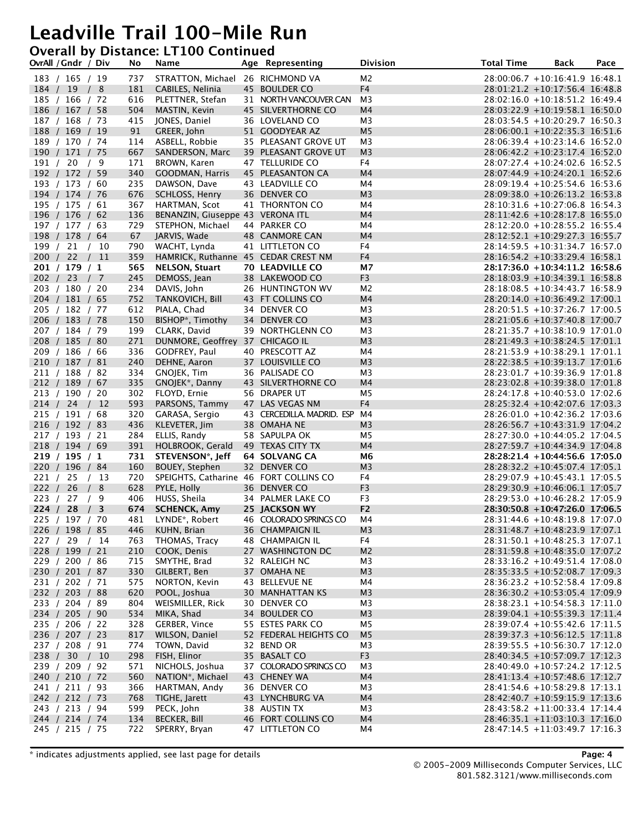#### **Overall by Distance: LT100 Continued**

|          | OvrAll / Gndr / Div              |      | No         | Name                                   | Age Representing                | <b>Division</b>      | <b>Total Time</b> | Back                                                             | Pace |
|----------|----------------------------------|------|------------|----------------------------------------|---------------------------------|----------------------|-------------------|------------------------------------------------------------------|------|
|          | 183 / 165 / 19                   |      | 737        | STRATTON, Michael 26 RICHMOND VA       |                                 | M2                   |                   | 28:00:06.7 +10:16:41.9 16:48.1                                   |      |
|          | 184 / 19 / 8                     |      | 181        | CABILES, Nelinia                       | 45 BOULDER CO                   | F <sub>4</sub>       |                   | 28:01:21.2 +10:17:56.4 16:48.8                                   |      |
|          | 185 / 166 / 72                   |      | 616        | PLETTNER, Stefan                       | 31 NORTH VANCOUVER CAN          | M <sub>3</sub>       |                   | 28:02:16.0 +10:18:51.2 16:49.4                                   |      |
|          | 186 / 167 / 58                   |      | 504        | MASTIN, Kevin                          | 45 SILVERTHORNE CO              | M <sub>4</sub>       |                   | 28:03:22.9 +10:19:58.1 16:50.0                                   |      |
|          | 187 / 168 / 73                   |      | 415        | JONES, Daniel                          | 36 LOVELAND CO                  | M3                   |                   | 28:03:54.5 +10:20:29.7 16:50.3                                   |      |
|          | 188 / 169 / 19                   |      | 91         | GREER, John                            | 51 GOODYEAR AZ                  | M <sub>5</sub>       |                   | 28:06:00.1 +10:22:35.3 16:51.6                                   |      |
|          | 189 / 170 / 74                   |      | 114        | ASBELL, Robbie                         | 35 PLEASANT GROVE UT            | M <sub>3</sub>       |                   | 28:06:39.4 +10:23:14.6 16:52.0                                   |      |
|          | 190 / 171 / 75                   |      | 667        | SANDERSON, Marc                        | 39 PLEASANT GROVE UT            | M <sub>3</sub>       |                   | 28:06:42.2 +10:23:17.4 16:52.0                                   |      |
| 191 / 20 |                                  | / 9  | 171        | BROWN, Karen                           | 47 TELLURIDE CO                 | F4                   |                   | 28:07:27.4 +10:24:02.6 16:52.5                                   |      |
|          | 192 / 172 / 59                   |      | 340        | <b>GOODMAN, Harris</b>                 | 45 PLEASANTON CA                | M4                   |                   | 28:07:44.9 +10:24:20.1 16:52.6                                   |      |
|          | 193 / 173 / 60<br>194 / 174 / 76 |      | 235<br>676 | DAWSON, Dave                           | 43 LEADVILLE CO<br>36 DENVER CO | M4<br>M <sub>3</sub> |                   | 28:09:19.4 +10:25:54.6 16:53.6<br>28:09:38.0 +10:26:13.2 16:53.8 |      |
|          | 195 / 175 / 61                   |      | 367        | SCHLOSS, Henry<br>HARTMAN, Scot        | 41 THORNTON CO                  | M4                   |                   | 28:10:31.6 +10:27:06.8 16:54.3                                   |      |
|          | 196 / 176 / 62                   |      | 136        | BENANZIN, Giuseppe 43 VERONA ITL       |                                 | M <sub>4</sub>       |                   | 28:11:42.6 +10:28:17.8 16:55.0                                   |      |
|          | 197 / 177 / 63                   |      | 729        | STEPHON, Michael                       | 44 PARKER CO                    | M4                   |                   | 28:12:20.0 +10:28:55.2 16:55.4                                   |      |
|          | 198 / 178 / 64                   |      | 67         | JARVIS, Wade                           | <b>48 CANMORE CAN</b>           | M4                   |                   | 28:12:52.1 +10:29:27.3 16:55.7                                   |      |
|          | 199 / 21 / 10                    |      | 790        | WACHT, Lynda                           | 41 LITTLETON CO                 | F4                   |                   | $28:14:59.5 + 10:31:34.7 16:57.0$                                |      |
|          | 200 / 22 / 11                    |      | 359        | HAMRICK, Ruthanne 45 CEDAR CREST NM    |                                 | F4                   |                   | 28:16:54.2 +10:33:29.4 16:58.1                                   |      |
|          | 201 / 179 / 1                    |      | 565        | <b>NELSON, Stuart</b>                  | <b>70 LEADVILLE CO</b>          | М7                   |                   | 28:17:36.0 +10:34:11.2 16:58.6                                   |      |
|          | 202 / 23 / 7                     |      | 245        | DEMOSS, Jean                           | 38 LAKEWOOD CO                  | F <sub>3</sub>       |                   | 28:18:03.9 +10:34:39.1 16:58.8                                   |      |
|          | 203 / 180 / 20                   |      | 234        | DAVIS, John                            | 26 HUNTINGTON WV                | M <sub>2</sub>       |                   | 28:18:08.5 +10:34:43.7 16:58.9                                   |      |
|          | 204 / 181 / 65                   |      | 752        | TANKOVICH, Bill                        | 43 FT COLLINS CO                | M4                   |                   | 28:20:14.0 +10:36:49.2 17:00.1                                   |      |
|          | 205 / 182 / 77                   |      | 612        | PIALA, Chad                            | 34 DENVER CO                    | M3                   |                   | 28:20:51.5 +10:37:26.7 17:00.5                                   |      |
|          | 206 / 183 / 78                   |      | 150        | BISHOP*, Timothy                       | 34 DENVER CO                    | M <sub>3</sub>       |                   | 28:21:05.6 +10:37:40.8 17:00.7                                   |      |
|          | 207 / 184 / 79                   |      | 199        | CLARK, David                           | 39 NORTHGLENN CO                | M <sub>3</sub>       |                   | 28:21:35.7 +10:38:10.9 17:01.0                                   |      |
|          | 208 / 185 / 80                   |      | 271        | DUNMORE, Geoffrey 37 CHICAGO IL        |                                 | M <sub>3</sub>       |                   | 28:21:49.3 +10:38:24.5 17:01.1                                   |      |
|          | 209 / 186 / 66                   |      | 336        | GODFREY, Paul                          | 40 PRESCOTT AZ                  | M4                   |                   | 28:21:53.9 +10:38:29.1 17:01.1                                   |      |
|          | 210 / 187 / 81                   |      | 240        | DEHNE, Aaron                           | 37 LOUISVILLE CO                | M <sub>3</sub>       |                   | 28:22:38.5 +10:39:13.7 17:01.6                                   |      |
|          | 211 / 188 / 82                   |      | 334        | GNOJEK, Tim                            | 36 PALISADE CO                  | M3                   |                   | 28:23:01.7 +10:39:36.9 17:01.8                                   |      |
|          | 212 / 189 / 67                   |      | 335        | GNOJEK*, Danny                         | 43 SILVERTHORNE CO              | M4                   |                   | 28:23:02.8 +10:39:38.0 17:01.8                                   |      |
|          | 213 / 190 / 20<br>214 / 24 / 12  |      | 302<br>593 | FLOYD, Ernie<br>PARSONS, Tammy         | 56 DRAPER UT<br>47 LAS VEGAS NM | M5<br>F <sub>4</sub> |                   | 28:24:17.8 +10:40:53.0 17:02.6<br>28:25:32.4 +10:42:07.6 17:03.3 |      |
|          | 215 / 191 / 68                   |      | 320        | GARASA, Sergio                         | 43 CERCEDILLA. MADRID. ESP      | M4                   |                   | 28:26:01.0 +10:42:36.2 17:03.6                                   |      |
|          | 216 / 192 / 83                   |      | 436        | KLEVETER, Jim                          | 38 OMAHA NE                     | M <sub>3</sub>       |                   | 28:26:56.7 +10:43:31.9 17:04.2                                   |      |
|          | 217 / 193 / 21                   |      | 284        | ELLIS, Randy                           | 58 SAPULPA OK                   | M5                   |                   | 28:27:30.0 +10:44:05.2 17:04.5                                   |      |
|          | 218 / 194 / 69                   |      | 391        | HOLBROOK, Gerald                       | 49 TEXAS CITY TX                | M4                   |                   | 28:27:59.7 +10:44:34.9 17:04.8                                   |      |
|          | 219 / 195 / 1                    |      | 731        | STEVENSON*, Jeff                       | <b>64 SOLVANG CA</b>            | M6                   |                   | 28:28:21.4 +10:44:56.6 17:05.0                                   |      |
|          | 220 / 196 / 84                   |      | 160        | BOUEY, Stephen                         | 32 DENVER CO                    | M <sub>3</sub>       |                   | 28:28:32.2 +10:45:07.4 17:05.1                                   |      |
| 221 / 25 |                                  | / 13 | 720        | SPEIGHTS, Catharine 46 FORT COLLINS CO |                                 | F4                   |                   | 28:29:07.9 +10:45:43.1 17:05.5                                   |      |
| 222 / 26 |                                  | /8   | 628        | PYLE, Holly                            | 36 DENVER CO                    | F <sub>3</sub>       |                   | 28:29:30.9 +10:46:06.1 17:05.7                                   |      |
|          | 223 / 27 / 9                     |      | 406        | HUSS, Sheila                           | 34 PALMER LAKE CO               | F3                   |                   | 28:29:53.0 +10:46:28.2 17:05.9                                   |      |
| 224 / 28 |                                  | /3   | 674        | <b>SCHENCK, Amy</b>                    | 25 JACKSON WY                   | F <sub>2</sub>       |                   | 28:30:50.8 +10:47:26.0 17:06.5                                   |      |
|          | 225 / 197 / 70                   |      | 481        | LYNDE*, Robert                         | 46 COLORADO SPRINGS CO          | M4                   |                   | 28:31:44.6 +10:48:19.8 17:07.0                                   |      |
|          | 226 / 198 / 85                   |      |            | 446 KUHN, Brian                        | 36 CHAMPAIGN IL                 | M <sub>3</sub>       |                   | 28:31:48.7 +10:48:23.9 17:07.1                                   |      |
|          | 227 / 29 / 14                    |      | 763        | THOMAS, Tracy                          | <b>48 CHAMPAIGN IL</b>          | F4                   |                   | 28:31:50.1 +10:48:25.3 17:07.1                                   |      |
|          | 228 / 199 / 21                   |      | 210        | COOK, Denis                            | 27 WASHINGTON DC                | M <sub>2</sub>       |                   | 28:31:59.8 +10:48:35.0 17:07.2                                   |      |
|          | 229 / 200 / 86                   |      | 715        | SMYTHE, Brad                           | 32 RALEIGH NC<br>37 OMAHA NE    | M <sub>3</sub>       |                   | 28:33:16.2 +10:49:51.4 17:08.0                                   |      |
|          | 230 / 201 / 87<br>231 / 202 / 71 |      | 330<br>575 | GILBERT, Ben<br>NORTON, Kevin          | 43 BELLEVUE NE                  | M <sub>3</sub><br>M4 |                   | 28:35:33.5 +10:52:08.7 17:09.3<br>28:36:23.2 +10:52:58.4 17:09.8 |      |
|          | 232 / 203 / 88                   |      | 620        | POOL, Joshua                           | <b>30 MANHATTAN KS</b>          | M <sub>3</sub>       |                   | 28:36:30.2 +10:53:05.4 17:09.9                                   |      |
|          | 233 / 204 / 89                   |      | 804        | WEISMILLER, Rick                       | 30 DENVER CO                    | M <sub>3</sub>       |                   | 28:38:23.1 +10:54:58.3 17:11.0                                   |      |
|          | 234 / 205 / 90                   |      | 534        | MIKA, Shad                             | 34 BOULDER CO                   | M <sub>3</sub>       |                   | 28:39:04.1 +10:55:39.3 17:11.4                                   |      |
|          | 235 / 206 / 22                   |      | 328        | GERBER, Vince                          | 55 ESTES PARK CO                | M5                   |                   | 28:39:07.4 +10:55:42.6 17:11.5                                   |      |
|          | 236 / 207 / 23                   |      | 817        | WILSON, Daniel                         | 52 FEDERAL HEIGHTS CO           | M <sub>5</sub>       |                   | 28:39:37.3 +10:56:12.5 17:11.8                                   |      |
|          | 237 / 208 / 91                   |      | 774        | TOWN, David                            | 32 BEND OR                      | M3                   |                   | 28:39:55.5 +10:56:30.7 17:12.0                                   |      |
|          | 238 / 30 / 10                    |      | 298        | FISH, Elinor                           | 35 BASALT CO                    | F <sub>3</sub>       |                   | 28:40:34.5 +10:57:09.7 17:12.3                                   |      |
|          | 239 / 209 / 92                   |      | 571        | NICHOLS, Joshua                        | 37 COLORADO SPRINGS CO          | M <sub>3</sub>       |                   | 28:40:49.0 +10:57:24.2 17:12.5                                   |      |
|          | 240 / 210 / 72                   |      | 560        | NATION*, Michael                       | 43 CHENEY WA                    | M4                   |                   | 28:41:13.4 +10:57:48.6 17:12.7                                   |      |
|          | 241 / 211 / 93                   |      | 366        | HARTMAN, Andy                          | 36 DENVER CO                    | M3                   |                   | 28:41:54.6 +10:58:29.8 17:13.1                                   |      |
|          | 242 / 212 / 73                   |      | 768        | TIGHE, Jarett                          | 43 LYNCHBURG VA                 | M4                   |                   | 28:42:40.7 +10:59:15.9 17:13.6                                   |      |
|          | 243 / 213 / 94                   |      | 599        | PECK, John                             | 38 AUSTIN TX                    | M <sub>3</sub>       |                   | 28:43:58.2 +11:00:33.4 17:14.4                                   |      |
|          | 244 / 214 / 74                   |      | 134        | <b>BECKER, Bill</b>                    | <b>46 FORT COLLINS CO</b>       | M <sub>4</sub>       |                   | 28:46:35.1 +11:03:10.3 17:16.0                                   |      |
|          | 245 / 215 / 75                   |      | 722        | SPERRY, Bryan                          | 47 LITTLETON CO                 | M4                   |                   | 28:47:14.5 +11:03:49.7 17:16.3                                   |      |

\* indicates adjustments applied, see last page for details **Page: 4**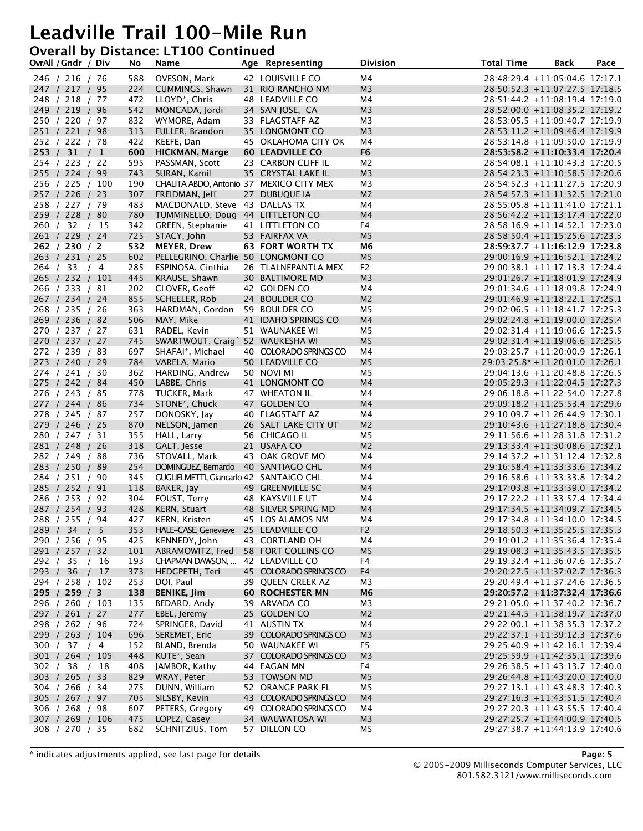#### **Overall by Distance: LT100 Continued**

|          | OvrAll / Gndr / Div              |      | No         | Name                                              | Age Representing            | <b>Division</b>      | <b>Total Time</b> | Back                                                               | Pace |
|----------|----------------------------------|------|------------|---------------------------------------------------|-----------------------------|----------------------|-------------------|--------------------------------------------------------------------|------|
|          | 246 / 216 / 76                   |      | 588        | OVESON, Mark                                      | 42 LOUISVILLE CO            | M4                   |                   | 28:48:29.4 +11:05:04.6 17:17.1                                     |      |
|          | 247 / 217 / 95                   |      | 224        | CUMMINGS, Shawn                                   | 31 RIO RANCHO NM            | M <sub>3</sub>       |                   | 28:50:52.3 +11:07:27.5 17:18.5                                     |      |
|          | 248 / 218 / 77                   |      | 472        | LLOYD <sup>*</sup> , Chris                        | 48 LEADVILLE CO             | M4                   |                   | $28:51:44.2 +11:08:19.4$ 17:19.0                                   |      |
|          | 249 / 219 / 96                   |      | 542        | MONCADA, Jordi                                    | 34 SAN JOSE, CA             | M <sub>3</sub>       |                   | 28:52:00.0 +11:08:35.2 17:19.2                                     |      |
|          | 250 / 220 / 97                   |      | 832        | WYMORE, Adam                                      | 33 FLAGSTAFF AZ             | M3                   |                   | 28:53:05.5 +11:09:40.7 17:19.9                                     |      |
|          | 251 / 221 / 98                   |      | 313        | FULLER, Brandon                                   | 35 LONGMONT CO              | M <sub>3</sub>       |                   | $28:53:11.2 +11:09:46.4$ 17:19.9                                   |      |
|          | 252 / 222 / 78                   |      | 422        | KEEFE, Dan                                        | 45 OKLAHOMA CITY OK         | M4                   |                   | $28:53:14.8 +11:09:50.0 17:19.9$                                   |      |
|          | 253 / 31 / 1                     |      | 600        | <b>HICKMAN, Marge</b>                             | <b>60 LEADVILLE CO</b>      | F <sub>6</sub>       |                   | 28:53:58.2 +11:10:33.4 17:20.4                                     |      |
|          | 254 / 223 / 22                   |      | 595        | PASSMAN, Scott                                    | 23 CARBON CLIFF IL          | M <sub>2</sub>       |                   | $28:54:08.1 + 11:10:43.3 17:20.5$                                  |      |
|          | 255 / 224 / 99                   |      | 743        | SURAN, Kamil                                      | 35 CRYSTAL LAKE IL          | M <sub>3</sub>       |                   | 28:54:23.3 +11:10:58.5 17:20.6                                     |      |
|          | 256 / 225 / 100                  |      | 190        | CHALITA ABDO, Antonio 37 MEXICO CITY MEX          |                             | M3                   |                   | 28:54:52.3 +11:11:27.5 17:20.9                                     |      |
|          | 257 / 226 / 23                   |      | 307        | FREIDMAN, Jeff                                    | 27 DUBUQUE IA               | M <sub>2</sub>       |                   | 28:54:57.3 +11:11:32.5 17:21.0                                     |      |
|          | 258 / 227 / 79                   |      | 483        | MACDONALD, Steve 43 DALLAS TX                     |                             | M4                   |                   | 28:55:05.8 +11:11:41.0 17:21.1                                     |      |
|          | 259 / 228 / 80                   |      | 780        | TUMMINELLO, Doug 44 LITTLETON CO                  |                             | M4                   |                   | 28:56:42.2 +11:13:17.4 17:22.0                                     |      |
|          | 260 / 32 / 15                    |      | 342        | GREEN, Stephanie                                  | 41 LITTLETON CO             | F4                   |                   | 28:58:16.9 +11:14:52.1 17:23.0                                     |      |
|          | 261 / 229 / 24                   |      | 725        | STACY, John                                       | 53 FAIRFAX VA               | M <sub>5</sub>       |                   | 28:58:50.4 +11:15:25.6 17:23.3                                     |      |
|          | 262 / 230 / 2                    |      | 532        | <b>MEYER, Drew</b>                                | <b>63 FORT WORTH TX</b>     | M6                   |                   | 28:59:37.7 +11:16:12.9 17:23.8                                     |      |
|          | 263 / 231 / 25                   |      | 602        | PELLEGRINO, Charlie 50 LONGMONT CO                |                             | M <sub>5</sub>       |                   | 29:00:16.9 +11:16:52.1 17:24.2                                     |      |
|          | 264 / 33 / 4                     |      | 285        | ESPINOSA, Cinthia                                 | 26 TLALNEPANTLA MEX         | F <sub>2</sub>       |                   | 29:00:38.1 +11:17:13.3 17:24.4                                     |      |
|          | 265 / 232 / 101                  |      | 445        | KRAUSE, Shawn                                     | 30 BALTIMORE MD             | M <sub>3</sub>       |                   | 29:01:26.7 +11:18:01.9 17:24.9                                     |      |
|          | 266 / 233 / 81                   |      | 202        | CLOVER, Geoff                                     | 42 GOLDEN CO                | M4                   |                   | 29:01:34.6 +11:18:09.8 17:24.9                                     |      |
|          | 267 / 234 / 24                   |      | 855        | SCHEELER, Rob                                     | 24 BOULDER CO               | M <sub>2</sub>       |                   | 29:01:46.9 +11:18:22.1 17:25.1                                     |      |
|          | 268 / 235 / 26<br>269 / 236 / 82 |      | 363<br>506 | HARDMAN, Gordon 59 BOULDER CO<br>MAY, Mike        | 41 IDAHO SPRINGS CO         | M5<br>M4             |                   | 29:02:06.5 +11:18:41.7 17:25.3<br>29:02:24.8 +11:19:00.0 17:25.4   |      |
|          | 270 / 237 / 27                   |      | 631        |                                                   | 51 WAUNAKEE WI              | M5                   |                   | 29:02:31.4 +11:19:06.6 17:25.5                                     |      |
|          | 270 / 237 / 27                   |      | 745        | RADEL, Kevin<br>SWARTWOUT, Craig ` 52 WAUKESHA WI |                             | M <sub>5</sub>       |                   | 29:02:31.4 +11:19:06.6 17:25.5                                     |      |
|          | 272 / 239 / 83                   |      | 697        | SHAFAI*, Michael                                  | 40 COLORADO SPRINGS CO      | M4                   |                   | 29:03:25.7 +11:20:00.9 17:26.1                                     |      |
|          | 273 / 240 / 29                   |      | 784        | VARELA, Mario                                     | 50 LEADVILLE CO             | M <sub>5</sub>       |                   | 29:03:25.8* +11:20:01.0 17:26.1                                    |      |
|          | 274 / 241 / 30                   |      | 362        | HARDING, Andrew                                   | 50 NOVI MI                  | M5                   |                   | 29:04:13.6 +11:20:48.8 17:26.5                                     |      |
|          | 275 / 242 / 84                   |      | 450        | LABBE, Chris                                      | 41 LONGMONT CO              | M4                   |                   | 29:05:29.3 +11:22:04.5 17:27.3                                     |      |
|          | 276 / 243 / 85                   |      | 778        | TUCKER, Mark                                      | 47 WHEATON IL               | M4                   |                   | 29:06:18.8 +11:22:54.0 17:27.8                                     |      |
|          | 277 / 244 / 86                   |      | 734        | STONE*, Chuck                                     | 47 GOLDEN CO                | M4                   |                   | 29:09:18.2 +11:25:53.4 17:29.6                                     |      |
|          | 278 / 245 / 87                   |      | 257        | DONOSKY, Jay                                      | 40 FLAGSTAFF AZ             | M4                   |                   | 29:10:09.7 +11:26:44.9 17:30.1                                     |      |
|          | 279 / 246 / 25                   |      | 870        | NELSON, Jamen                                     | 26 SALT LAKE CITY UT        | M <sub>2</sub>       |                   | 29:10:43.6 +11:27:18.8 17:30.4                                     |      |
|          | 280 / 247 / 31                   |      | 355        | HALL, Larry                                       | 56 CHICAGO IL               | M5                   |                   | 29:11:56.6 +11:28:31.8 17:31.2                                     |      |
|          | 281 / 248 / 26                   |      | 318        | GALT, Jesse                                       | 21 USAFA CO                 | M <sub>2</sub>       |                   | 29:13:33.4 +11:30:08.6 17:32.1                                     |      |
|          | 282 / 249 / 88                   |      | 736        | STOVALL, Mark                                     | 43 OAK GROVE MO             | M4                   |                   | 29:14:37.2 +11:31:12.4 17:32.8                                     |      |
|          | 283 / 250 / 89                   |      | 254        | DOMINGUEZ, Bernardo 40 SANTIAGO CHL               |                             | M4                   |                   | 29:16:58.4 +11:33:33.6 17:34.2                                     |      |
|          | 284 / 251 / 90                   |      | 345        | <b>GUGLIELMETTI, Giancarlo 42 SANTAIGO CHL</b>    |                             | M4                   |                   | 29:16:58.6 +11:33:33.8 17:34.2                                     |      |
|          | 285 / 252 / 91                   |      | 118        | BAKER, Jay                                        | 49 GREENVILLE SC            | M4                   |                   | 29:17:03.8 +11:33:39.0 17:34.2                                     |      |
|          | 286 / 253 / 92                   |      | 304        | FOUST, Terry                                      | 48 KAYSVILLE UT             | M4                   |                   | 29:17:22.2 +11:33:57.4 17:34.4                                     |      |
|          | 287 / 254 / 93                   |      | 428        | <b>KERN, Stuart</b>                               | 48 SILVER SPRING MD         | M4                   |                   | 29:17:34.5 +11:34:09.7 17:34.5                                     |      |
|          | 288 / 255 / 94                   |      | 427        | KERN, Kristen                                     | 45 LOS ALAMOS NM            | M4                   |                   | 29:17:34.8 +11:34:10.0 17:34.5                                     |      |
|          | 289 / 34 / 5                     |      |            | 353 HALE-CASE, Genevieve 25 LEADVILLE CO          |                             | F <sub>2</sub>       |                   | 29:18:50.3 +11:35:25.5 17:35.3                                     |      |
|          | 290 / 256 / 95                   |      | 425        | KENNEDY, John                                     | 43 CORTLAND OH              | M4                   |                   | 29:19:01.2 +11:35:36.4 17:35.4                                     |      |
|          | 291 / 257 / 32                   |      | 101        | ABRAMOWITZ, Fred                                  | 58 FORT COLLINS CO          | M <sub>5</sub>       |                   | 29:19:08.3 +11:35:43.5 17:35.5                                     |      |
| 292 / 35 |                                  | / 16 | 193        | CHAPMAN DAWSON,                                   | 42 LEADVILLE CO             | F4                   |                   | 29:19:32.4 +11:36:07.6 17:35.7                                     |      |
|          | 293 / 36 / 17                    |      | 373        | HEDGPETH, Teri                                    | 45 COLORADO SPRINGS CO      | F4                   |                   | 29:20:27.5 +11:37:02.7 17:36.3                                     |      |
|          | 294 / 258 / 102                  |      | 253        | DOI, Paul                                         | 39 QUEEN CREEK AZ           | M <sub>3</sub>       |                   | 29:20:49.4 +11:37:24.6 17:36.5                                     |      |
|          | 295 / 259 / 3                    |      | 138        | <b>BENIKE, Jim</b>                                | <b>60 ROCHESTER MN</b>      | M <sub>6</sub>       |                   | 29:20:57.2 +11:37:32.4 17:36.6                                     |      |
|          | 296 / 260 / 103                  |      | 135        | BEDARD, Andy                                      | 39 ARVADA CO                | M <sub>3</sub>       |                   | 29:21:05.0 +11:37:40.2 17:36.7                                     |      |
|          | 297 / 261 / 27                   |      | 277        | EBEL, Jeremy                                      | 25 GOLDEN CO                | M <sub>2</sub>       |                   | 29:21:44.5 +11:38:19.7 17:37.0                                     |      |
|          | 298 / 262 / 96                   |      | 724        | SPRINGER, David                                   | 41 AUSTIN TX                | M4                   |                   | 29:22:00.1 +11:38:35.3 17:37.2                                     |      |
|          | 299 / 263 / 104                  |      | 696        | SEREMET, Eric                                     | 39 COLORADO SPRINGS CO      | M <sub>3</sub>       |                   | 29:22:37.1 +11:39:12.3 17:37.6                                     |      |
|          | 300 / 37 / 4<br>301 / 264 / 105  |      | 152        | BLAND, Brenda                                     | 50 WAUNAKEE WI              | F5                   |                   | 29:25:40.9 +11:42:16.1 17:39.4                                     |      |
|          |                                  |      | 448        | KUTE*, Sean                                       | 37 COLORADO SPRINGS CO      | M <sub>3</sub>       |                   | 29:25:59.9 +11:42:35.1 17:39.6                                     |      |
|          | 302 / 38 / 18<br>303 / 265 / 33  |      | 408<br>829 | JAMBOR, Kathy<br>WRAY, Peter                      | 44 EAGAN MN<br>53 TOWSON MD | F4<br>M <sub>5</sub> |                   | $29:26:38.5 +11:43:13.7 17:40.0$<br>29:26:44.8 +11:43:20.0 17:40.0 |      |
|          | 304 / 266 / 34                   |      | 275        | DUNN, William                                     | 52 ORANGE PARK FL           | M <sub>5</sub>       |                   | 29:27:13.1 +11:43:48.3 17:40.3                                     |      |
|          | 305 / 267 / 97                   |      | 705        | SILSBY, Kevin                                     | 43 COLORADO SPRINGS CO      | M4                   |                   | 29:27:16.3 +11:43:51.5 17:40.4                                     |      |
|          | 306 / 268 / 98                   |      | 607        | PETERS, Gregory                                   | 49 COLORADO SPRINGS CO      | M4                   |                   | 29:27:20.3 +11:43:55.5 17:40.4                                     |      |
|          | 307 / 269 / 106                  |      | 475        | LOPEZ, Casey                                      | 34 WAUWATOSA WI             | M <sub>3</sub>       |                   | 29:27:25.7 +11:44:00.9 17:40.5                                     |      |
|          | 308 / 270 / 35                   |      | 682        | SCHNITZIUS, Tom                                   | 57 DILLON CO                | M5                   |                   | $29:27:38.7 +11:44:13.9$ 17:40.6                                   |      |
|          |                                  |      |            |                                                   |                             |                      |                   |                                                                    |      |

\* indicates adjustments applied, see last page for details **Page: 5**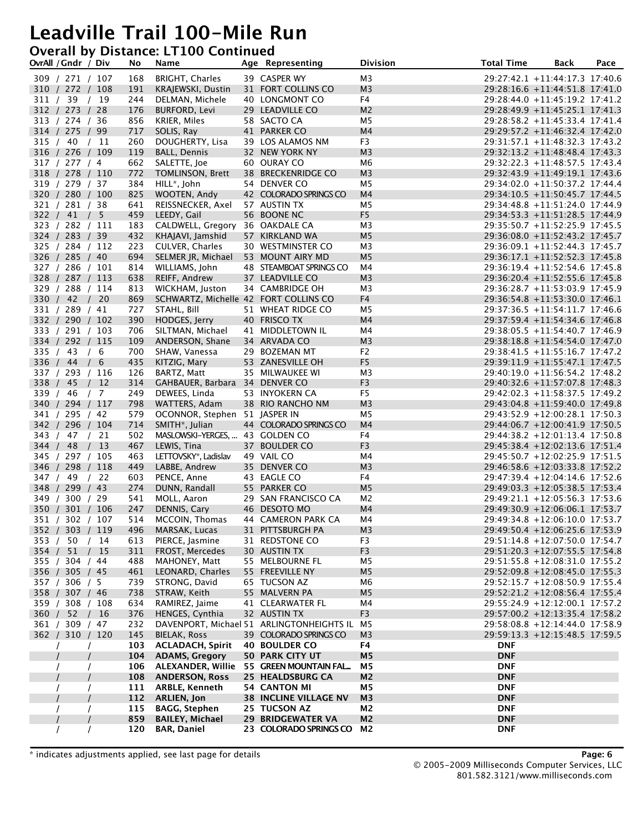#### **Overall by Distance: LT100 Continued**

| OvrAll / Gndr / Div                |                  | No         | Name                                           | Age Representing                          | <b>Division</b>                  | <b>Total Time</b> | Back                                                             | Pace |
|------------------------------------|------------------|------------|------------------------------------------------|-------------------------------------------|----------------------------------|-------------------|------------------------------------------------------------------|------|
| 309 / 271 / 107                    |                  | 168        | <b>BRIGHT, Charles</b>                         | 39 CASPER WY                              | M3                               |                   | 29:27:42.1 +11:44:17.3 17:40.6                                   |      |
| 310 / 272 / 108                    |                  | 191        | KRAJEWSKI, Dustin                              | 31 FORT COLLINS CO                        | M <sub>3</sub>                   |                   | 29:28:16.6 +11:44:51.8 17:41.0                                   |      |
| 311 / 39 / 19                      |                  | 244        | DELMAN, Michele                                | 40 LONGMONT CO                            | F4                               |                   | 29:28:44.0 +11:45:19.2 17:41.2                                   |      |
| 312 / 273 / 28                     |                  | 176        | <b>BURFORD, Levi</b>                           | 29 LEADVILLE CO                           | M <sub>2</sub>                   |                   | 29:28:49.9 +11:45:25.1 17:41.3                                   |      |
| 313 / 274 / 36                     |                  | 856        | KRIER, Miles                                   | 58 SACTO CA                               | M5                               |                   | 29:28:58.2 +11:45:33.4 17:41.4                                   |      |
| 314 / 275 / 99                     |                  | 717        | SOLIS, Ray                                     | 41 PARKER CO                              | M4                               |                   | 29:29:57.2 +11:46:32.4 17:42.0                                   |      |
| 315 / 40 / 11                      |                  | 260        | DOUGHERTY, Lisa                                | 39 LOS ALAMOS NM                          | F3                               |                   | 29:31:57.1 +11:48:32.3 17:43.2                                   |      |
| 316 / 276 / 109                    |                  | 119        | <b>BALL, Dennis</b>                            | 32 NEW YORK NY                            | M <sub>3</sub>                   |                   | 29:32:13.2 +11:48:48.4 17:43.3                                   |      |
| 317 / 277 / 4                      |                  | 662        | SALETTE, Joe                                   | 60 OURAY CO                               | M6                               |                   | 29:32:22.3 +11:48:57.5 17:43.4                                   |      |
| 318 / 278 / 110                    |                  | 772        | TOMLINSON, Brett                               | 38 BRECKENRIDGE CO                        | M <sub>3</sub>                   |                   | 29:32:43.9 +11:49:19.1 17:43.6                                   |      |
| 319 / 279 / 37                     |                  | 384        | HILL <sup>*</sup> , John                       | 54 DENVER CO                              | M <sub>5</sub>                   |                   | 29:34:02.0 +11:50:37.2 17:44.4                                   |      |
| 320 / 280 / 100                    |                  | 825        | WOOTEN, Andy                                   | 42 COLORADO SPRINGS CO                    | M4                               |                   | 29:34:10.5 +11:50:45.7 17:44.5                                   |      |
| 321 / 281 / 38                     |                  | 641        | REISSNECKER, Axel                              | 57 AUSTIN TX                              | M5                               |                   | 29:34:48.8 +11:51:24.0 17:44.9                                   |      |
| 322 / 41 / 5<br>323 / 282 / 111    |                  | 459<br>183 | LEEDY, Gail<br>CALDWELL, Gregory 36 OAKDALE CA | 56 BOONE NC                               | F <sub>5</sub><br>M <sub>3</sub> |                   | 29:34:53.3 +11:51:28.5 17:44.9<br>29:35:50.7 +11:52:25.9 17:45.5 |      |
| 324 / 283 / 39                     |                  | 432        | KHAJAVI, Jamshid                               | 57 KIRKLAND WA                            | M <sub>5</sub>                   |                   | 29:36:08.0 +11:52:43.2 17:45.7                                   |      |
| 325 / 284 / 112                    |                  | 223        | CULVER, Charles                                | 30 WESTMINSTER CO                         | M <sub>3</sub>                   |                   | 29:36:09.1 +11:52:44.3 17:45.7                                   |      |
| 326 / 285 / 40                     |                  | 694        | SELMER JR, Michael                             | 53 MOUNT AIRY MD                          | M <sub>5</sub>                   |                   | 29:36:17.1 +11:52:52.3 17:45.8                                   |      |
| 327 / 286 / 101                    |                  | 814        | WILLIAMS, John                                 | 48 STEAMBOAT SPRINGS CO                   | M4                               |                   | 29:36:19.4 +11:52:54.6 17:45.8                                   |      |
| 328 / 287 / 113                    |                  | 638        | REIFF, Andrew                                  | 37 LEADVILLE CO                           | M <sub>3</sub>                   |                   | 29:36:20.4 +11:52:55.6 17:45.8                                   |      |
| 329 / 288 / 114                    |                  | 813        | WICKHAM, Juston                                | 34 CAMBRIDGE OH                           | M <sub>3</sub>                   |                   | 29:36:28.7 +11:53:03.9 17:45.9                                   |      |
| 330 / 42 / 20                      |                  | 869        | SCHWARTZ, Michelle 42 FORT COLLINS CO          |                                           | F4                               |                   | 29:36:54.8 +11:53:30.0 17:46.1                                   |      |
| 331 / 289 / 41                     |                  | 727        | STAHL, Bill                                    | 51 WHEAT RIDGE CO                         | M5                               |                   | 29:37:36.5 +11:54:11.7 17:46.6                                   |      |
| 332 / 290 / 102                    |                  | 390        | HODGES, Jerry                                  | 40 FRISCO TX                              | M4                               |                   | 29:37:59.4 +11:54:34.6 17:46.8                                   |      |
| 333 / 291 / 103                    |                  | 706        | SILTMAN, Michael                               | 41 MIDDLETOWN IL                          | M4                               |                   | $29:38:05.5 +11:54:40.7 17:46.9$                                 |      |
| 334 / 292 / 115                    |                  | 109        | ANDERSON, Shane                                | 34 ARVADA CO                              | M <sub>3</sub>                   |                   | 29:38:18.8 +11:54:54.0 17:47.0                                   |      |
| 335 / 43 / 6                       |                  | 700        | SHAW, Vanessa                                  | 29 BOZEMAN MT                             | F2                               |                   | 29:38:41.5 +11:55:16.7 17:47.2                                   |      |
| 336 / 44 / 6                       |                  | 435        | KITZIG, Mary                                   | 53 ZANESVILLE OH                          | F <sub>5</sub>                   |                   | 29:39:11.9 +11:55:47.1 17:47.5                                   |      |
| 337 / 293 / 116                    |                  | 126        | BARTZ, Matt                                    | 35 MILWAUKEE WI                           | M <sub>3</sub>                   |                   | 29:40:19.0 +11:56:54.2 17:48.2                                   |      |
| 338 / 45                           | /12              | 314        | GAHBAUER, Barbara 34 DENVER CO                 |                                           | F <sub>3</sub>                   |                   | 29:40:32.6 +11:57:07.8 17:48.3                                   |      |
| 339 / 46 / 7                       |                  | 249        | DEWEES, Linda                                  | 53 INYOKERN CA                            | F <sub>5</sub>                   |                   | 29:42:02.3 +11:58:37.5 17:49.2                                   |      |
| 340 / 294 / 117                    |                  | 798        | WATTERS, Adam                                  | 38 RIO RANCHO NM                          | M <sub>3</sub>                   |                   | 29:43:04.8 +11:59:40.0 17:49.8                                   |      |
| 341 / 295 / 42                     |                  | 579        | OCONNOR, Stephen 51 JASPER IN                  |                                           | M5                               |                   | 29:43:52.9 +12:00:28.1 17:50.3                                   |      |
| 342 / 296 / 104                    |                  | 714        | SMITH*, Julian                                 | 44 COLORADO SPRINGS CO                    | M4                               |                   | 29:44:06.7 +12:00:41.9 17:50.5                                   |      |
| 343 / 47 / 21                      |                  | 502        | MASLOWSKI-YERGES,  43 GOLDEN CO                |                                           | F4                               |                   | 29:44:38.2 +12:01:13.4 17:50.8                                   |      |
| 344 / 48                           | 13<br>$\sqrt{ }$ | 467        | LEWIS, Tina                                    | 37 BOULDER CO                             | F <sub>3</sub>                   |                   | 29:45:38.4 +12:02:13.6 17:51.4                                   |      |
| 345 / 297 / 105                    |                  | 463        | LETTOVSKY*, Ladislav                           | 49 VAIL CO                                | M4                               |                   | 29:45:50.7 +12:02:25.9 17:51.5                                   |      |
| 346 / 298 / 118                    |                  | 449        | LABBE, Andrew                                  | 35 DENVER CO                              | M <sub>3</sub>                   |                   | 29:46:58.6 +12:03:33.8 17:52.2                                   |      |
| 347 / 49 / 22                      |                  | 603        | PENCE, Anne                                    | 43 EAGLE CO                               | F4                               |                   | 29:47:39.4 +12:04:14.6 17:52.6                                   |      |
| 348 / 299 / 43                     |                  | 274        | DUNN, Randall                                  | 55 PARKER CO                              | M <sub>5</sub>                   |                   | 29:49:03.3 +12:05:38.5 17:53.4                                   |      |
| 349 / 300 / 29                     |                  | 541<br>247 | MOLL, Aaron                                    | 29 SAN FRANCISCO CA<br>46 DESOTO MO       | M <sub>2</sub><br>M4             |                   | 29:49:21.1 +12:05:56.3 17:53.6<br>29:49:30.9 +12:06:06.1 17:53.7 |      |
| 350 / 301 / 106<br>351 / 302 / 107 |                  | 514        | DENNIS, Cary<br>MCCOIN, Thomas                 | 44 CAMERON PARK CA                        | M4                               |                   | 29:49:34.8 +12:06:10.0 17:53.7                                   |      |
| 352 / 303 / 119                    |                  | 496        | MARSAK, Lucas                                  | 31 PITTSBURGH PA                          |                                  |                   | 29:49:50.4 +12:06:25.6 17:53.9                                   |      |
| 353 / 50 / 14                      |                  | 613        | PIERCE, Jasmine                                | 31 REDSTONE CO                            | M <sub>3</sub><br>F3             |                   | 29:51:14.8 +12:07:50.0 17:54.7                                   |      |
| 354 / 51 / 15                      |                  | 311        | FROST, Mercedes                                | 30 AUSTIN TX                              | F <sub>3</sub>                   |                   | 29:51:20.3 +12:07:55.5 17:54.8                                   |      |
| 355 / 304 / 44                     |                  | 488        | MAHONEY, Matt                                  | 55 MELBOURNE FL                           | M <sub>5</sub>                   |                   | 29:51:55.8 +12:08:31.0 17:55.2                                   |      |
| 356 / 305 / 45                     |                  | 461        | LEONARD, Charles                               | 55 FREEVILLE NY                           | M <sub>5</sub>                   |                   | 29:52:09.8 +12:08:45.0 17:55.3                                   |      |
| 357 / 306 / 5                      |                  | 739        | STRONG, David                                  | 65 TUCSON AZ                              | M6                               |                   | 29:52:15.7 +12:08:50.9 17:55.4                                   |      |
| 358 / 307 / 46                     |                  | 738        | STRAW, Keith                                   | 55 MALVERN PA                             | M <sub>5</sub>                   |                   | 29:52:21.2 +12:08:56.4 17:55.4                                   |      |
| 359 / 308 / 108                    |                  | 634        | RAMIREZ, Jaime                                 | 41 CLEARWATER FL                          | M4                               |                   | 29:55:24.9 +12:12:00.1 17:57.2                                   |      |
| 360 / 52 / 16                      |                  | 376        | HENGES, Cynthia                                | 32 AUSTIN TX                              | F <sub>3</sub>                   |                   | 29:57:00.2 +12:13:35.4 17:58.2                                   |      |
| 361 / 309 / 47                     |                  | 232        |                                                | DAVENPORT, Michael 51 ARLINGTONHEIGHTS IL | M5                               |                   | 29:58:08.8 +12:14:44.0 17:58.9                                   |      |
| 362 / 310 / 120                    |                  | 145        | BIELAK, Ross                                   | 39 COLORADO SPRINGS CO                    | M <sub>3</sub>                   |                   | 29:59:13.3 +12:15:48.5 17:59.5                                   |      |
| $\prime$                           |                  | 103        | <b>ACLADACH, Spirit</b>                        | <b>40 BOULDER CO</b>                      | F4                               | <b>DNF</b>        |                                                                  |      |
|                                    |                  | 104        | <b>ADAMS, Gregory</b>                          | 50 PARK CITY UT                           | M <sub>5</sub>                   | <b>DNF</b>        |                                                                  |      |
|                                    |                  | 106        |                                                | ALEXANDER, Willie 55 GREEN MOUNTAIN FAL   | M5                               | <b>DNF</b>        |                                                                  |      |
|                                    |                  | 108        | <b>ANDERSON, Ross</b>                          | 25 HEALDSBURG CA                          | M <sub>2</sub>                   | <b>DNF</b>        |                                                                  |      |
|                                    |                  | 111        | ARBLE, Kenneth                                 | <b>54 CANTON MI</b>                       | M5                               | <b>DNF</b>        |                                                                  |      |
|                                    |                  | 112        | <b>ARLIEN, Jon</b>                             | <b>38 INCLINE VILLAGE NV</b>              | M <sub>3</sub>                   | <b>DNF</b>        |                                                                  |      |
| $\prime$                           |                  | 115        | <b>BAGG, Stephen</b>                           | 25 TUCSON AZ                              | M2                               | <b>DNF</b>        |                                                                  |      |
|                                    |                  | 859        | <b>BAILEY, Michael</b>                         | 29 BRIDGEWATER VA                         | M <sub>2</sub>                   | <b>DNF</b>        |                                                                  |      |
| $\prime$                           | $\prime$         | 120        | <b>BAR, Daniel</b>                             | 23 COLORADO SPRINGS CO                    | M2                               | <b>DNF</b>        |                                                                  |      |

\* indicates adjustments applied, see last page for details **Page: 6**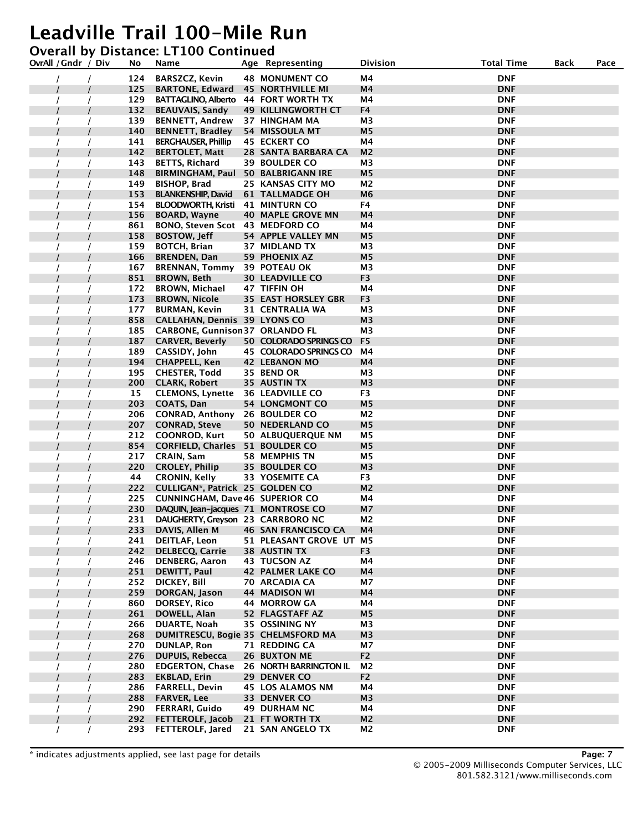### **Overall by Distance: LT100 Continued**

| OvrAll / Gndr / Div | No         | Name                                               | Age Representing           | Division             | <b>Total Time</b>        | Back | Pace |
|---------------------|------------|----------------------------------------------------|----------------------------|----------------------|--------------------------|------|------|
|                     | 124        | <b>BARSZCZ, Kevin</b>                              | <b>48 MONUMENT CO</b>      | Μ4                   | <b>DNF</b>               |      |      |
|                     | 125        | <b>BARTONE, Edward</b>                             | <b>45 NORTHVILLE MI</b>    | Μ4                   | <b>DNF</b>               |      |      |
|                     | 129        | BATTAGLINO, Alberto 44 FORT WORTH TX               |                            | M4                   | <b>DNF</b>               |      |      |
|                     | 132        | <b>BEAUVAIS, Sandy</b>                             | <b>49 KILLINGWORTH CT</b>  | F4                   | <b>DNF</b>               |      |      |
|                     | 139        | <b>BENNETT, Andrew</b>                             | <b>37 HINGHAM MA</b>       | М3                   | <b>DNF</b>               |      |      |
|                     | 140        | <b>BENNETT, Bradley</b>                            | 54 MISSOULA MT             | M <sub>5</sub>       | <b>DNF</b>               |      |      |
|                     | 141        | <b>BERGHAUSER, Phillip</b>                         | 45 ECKERT CO               | Μ4                   | <b>DNF</b>               |      |      |
|                     | 142        | <b>BERTOLET, Matt</b>                              | 28 SANTA BARBARA CA        | M2                   | <b>DNF</b>               |      |      |
|                     | 143        | <b>BETTS, Richard</b>                              | <b>39 BOULDER CO</b>       | M3                   | <b>DNF</b>               |      |      |
|                     | 148        | <b>BIRMINGHAM, Paul</b>                            | <b>50 BALBRIGANN IRE</b>   | M <sub>5</sub>       | <b>DNF</b>               |      |      |
|                     | 149        | <b>BISHOP, Brad</b>                                | <b>25 KANSAS CITY MO</b>   | М2                   | <b>DNF</b>               |      |      |
|                     | 153        | <b>BLANKENSHIP, David</b>                          | <b>61 TALLMADGE OH</b>     | M6                   | <b>DNF</b>               |      |      |
|                     | 154        | <b>BLOODWORTH, Kristi</b> 41 MINTURN CO            |                            | F4                   | <b>DNF</b>               |      |      |
|                     | 156        | <b>BOARD, Wayne</b>                                | <b>40 MAPLE GROVE MN</b>   | M4                   | <b>DNF</b>               |      |      |
|                     | 861        | BONO, Steven Scot 43 MEDFORD CO                    |                            | M4                   | <b>DNF</b>               |      |      |
|                     | 158        | <b>BOSTOW, Jeff</b>                                | 54 APPLE VALLEY MN         | M <sub>5</sub>       | <b>DNF</b>               |      |      |
|                     | 159        | <b>BOTCH, Brian</b>                                | 37 MIDLAND TX              | M3                   | <b>DNF</b>               |      |      |
|                     | 166        | <b>BRENDEN, Dan</b>                                | 59 PHOENIX AZ              | M <sub>5</sub>       | <b>DNF</b>               |      |      |
|                     | 167        | <b>BRENNAN, Tommy</b>                              | 39 POTEAU OK               | M3                   | <b>DNF</b>               |      |      |
|                     | 851        | <b>BROWN, Beth</b>                                 | <b>30 LEADVILLE CO</b>     | F3                   | <b>DNF</b>               |      |      |
|                     | 172        | <b>BROWN, Michael</b>                              | 47 TIFFIN OH               | M4                   | <b>DNF</b>               |      |      |
|                     | 173        | <b>BROWN, Nicole</b>                               | <b>35 EAST HORSLEY GBR</b> | F <sub>3</sub>       | <b>DNF</b>               |      |      |
|                     | 177        | <b>BURMAN, Kevin</b>                               | <b>31 CENTRALIA WA</b>     | M3                   | <b>DNF</b>               |      |      |
|                     | 858        | CALLAHAN, Dennis 39 LYONS CO                       |                            | M <sub>3</sub>       | <b>DNF</b>               |      |      |
|                     | 185        | <b>CARBONE, Gunnison 37 ORLANDO FL</b>             |                            | M3                   | <b>DNF</b>               |      |      |
|                     | 187        | <b>CARVER, Beverly</b>                             | 50 COLORADO SPRINGS CO     | F <sub>5</sub>       | <b>DNF</b>               |      |      |
|                     | 189        | CASSIDY, John                                      | 45 COLORADO SPRINGS CO     | M4                   | <b>DNF</b>               |      |      |
|                     | 194        | <b>CHAPPELL, Ken</b>                               | <b>42 LEBANON MO</b>       | M4                   | <b>DNF</b>               |      |      |
|                     | 195        | <b>CHESTER, Todd</b>                               | 35 BEND OR                 | M3                   | <b>DNF</b>               |      |      |
|                     | 200        | <b>CLARK, Robert</b>                               | 35 AUSTIN TX               | M <sub>3</sub>       | <b>DNF</b>               |      |      |
|                     | 15         | <b>CLEMONS, Lynette</b>                            | <b>36 LEADVILLE CO</b>     | F3                   | <b>DNF</b>               |      |      |
|                     | 203        | <b>COATS, Dan</b>                                  | <b>54 LONGMONT CO</b>      | M5                   | <b>DNF</b>               |      |      |
|                     | 206        | CONRAD, Anthony 26 BOULDER CO                      |                            | M <sub>2</sub>       | <b>DNF</b>               |      |      |
|                     | 207        | <b>CONRAD, Steve</b>                               | 50 NEDERLAND CO            | M <sub>5</sub>       | <b>DNF</b>               |      |      |
|                     | 212        | <b>COONROD, Kurt</b>                               | 50 ALBUQUERQUE NM          | М5                   | <b>DNF</b>               |      |      |
|                     | 854        | CORFIELD, Charles 51 BOULDER CO                    |                            | M <sub>5</sub>       | <b>DNF</b>               |      |      |
|                     | 217        | CRAIN, Sam                                         | 58 MEMPHIS TN              | Μ5                   | <b>DNF</b>               |      |      |
|                     | 220        | <b>CROLEY, Philip</b>                              | <b>35 BOULDER CO</b>       | M3                   | <b>DNF</b>               |      |      |
|                     | 44         | <b>CRONIN, Kelly</b>                               | 33 YOSEMITE CA             | F3                   | <b>DNF</b>               |      |      |
|                     | 222        | CULLIGAN*, Patrick 25 GOLDEN CO                    |                            | M <sub>2</sub>       | <b>DNF</b>               |      |      |
|                     | 225        | <b>CUNNINGHAM, Dave 46 SUPERIOR CO</b>             |                            | Μ4                   | <b>DNF</b>               |      |      |
|                     | 230        | DAQUIN, Jean-jacques 71 MONTROSE CO                |                            | <b>M7</b>            | <b>DNF</b>               |      |      |
|                     | 231        | DAUGHERTY, Greyson 23 CARRBORO NC                  |                            | М2                   | <b>DNF</b>               |      |      |
|                     | 233        | DAVIS, Allen M                                     | <b>46 SAN FRANCISCO CA</b> | M4                   | <b>DNF</b>               |      |      |
|                     | 241        | <b>DEITLAF, Leon</b>                               | 51 PLEASANT GROVE UT M5    |                      | <b>DNF</b>               |      |      |
|                     | 242        | <b>DELBECQ, Carrie</b>                             | 38 AUSTIN TX               | F <sub>3</sub>       | <b>DNF</b>               |      |      |
|                     | 246        | <b>DENBERG, Aaron</b>                              | 43 TUCSON AZ               | Μ4                   | <b>DNF</b>               |      |      |
|                     | 251        | DEWITT, Paul                                       | <b>42 PALMER LAKE CO</b>   | M <sub>4</sub>       | <b>DNF</b>               |      |      |
|                     | 252        | DICKEY, Bill                                       | <b>70 ARCADIA CA</b>       | M7                   | <b>DNF</b>               |      |      |
|                     | 259        | DORGAN, Jason                                      | <b>44 MADISON WI</b>       | М4                   | <b>DNF</b>               |      |      |
|                     | 860        | <b>DORSEY, Rico</b>                                | <b>44 MORROW GA</b>        | M4                   | <b>DNF</b>               |      |      |
|                     | 261        | DOWELL, Alan                                       | 52 FLAGSTAFF AZ            | M <sub>5</sub>       | <b>DNF</b>               |      |      |
|                     | 266        | <b>DUARTE, Noah</b>                                | 35 OSSINING NY             | М3                   | <b>DNF</b>               |      |      |
|                     | 268        | DUMITRESCU, Bogie 35 CHELMSFORD MA                 |                            | M3                   | <b>DNF</b>               |      |      |
|                     | 270        | <b>DUNLAP, Ron</b>                                 | 71 REDDING CA              | M7                   | <b>DNF</b>               |      |      |
|                     | 276        | <b>DUPUIS, Rebecca</b>                             | <b>26 BUXTON ME</b>        | F <sub>2</sub>       | <b>DNF</b>               |      |      |
|                     | 280        | <b>EDGERTON, Chase</b>                             | 26 NORTH BARRINGTON IL     | M <sub>2</sub>       | <b>DNF</b>               |      |      |
|                     | 283        | <b>EKBLAD, Erin</b>                                | 29 DENVER CO               | F <sub>2</sub>       | <b>DNF</b>               |      |      |
|                     | 286<br>288 | <b>FARRELL, Devin</b>                              | <b>45 LOS ALAMOS NM</b>    | Μ4                   | <b>DNF</b>               |      |      |
|                     | 290        | <b>FARVER, Lee</b>                                 | 33 DENVER CO               | M <sub>3</sub>       | <b>DNF</b>               |      |      |
|                     |            | <b>FERRARI, Guido</b>                              | <b>49 DURHAM NC</b>        | Μ4<br>M <sub>2</sub> | <b>DNF</b>               |      |      |
|                     | 292<br>293 | <b>FETTEROLF, Jacob</b><br><b>FETTEROLF, Jared</b> | 21 FT WORTH TX             | M2                   | <b>DNF</b><br><b>DNF</b> |      |      |
|                     |            |                                                    | 21 SAN ANGELO TX           |                      |                          |      |      |

\* indicates adjustments applied, see last page for details **Page: 7**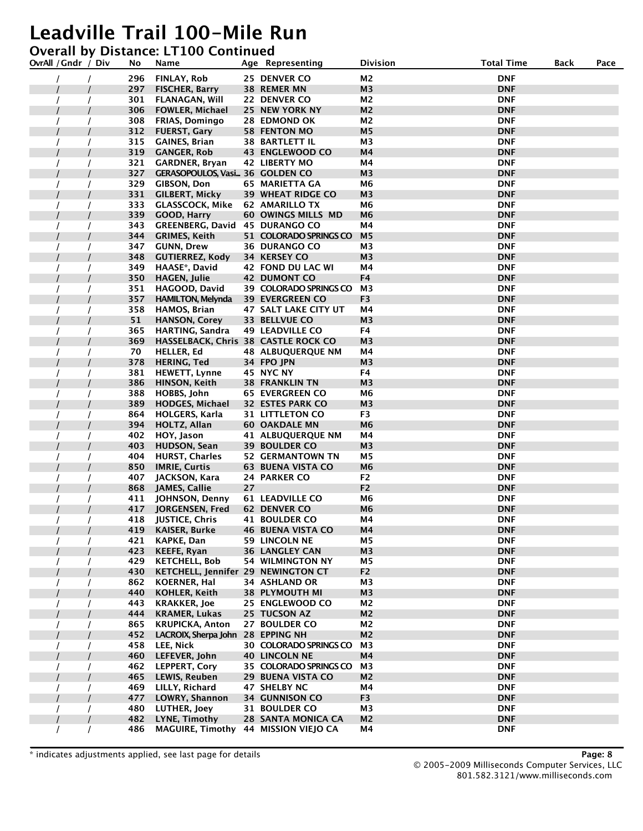#### **Overall by Distance: LT100 Continued**

| OvrAll / Gndr / Div | No  | Name                                  |    | Age Representing            | Division       | <b>Total Time</b> | Back | Pace |
|---------------------|-----|---------------------------------------|----|-----------------------------|----------------|-------------------|------|------|
|                     | 296 | FINLAY, Rob                           |    | 25 DENVER CO                | M <sub>2</sub> | <b>DNF</b>        |      |      |
|                     | 297 | <b>FISCHER, Barry</b>                 |    | 38 REMER MN                 | M <sub>3</sub> | <b>DNF</b>        |      |      |
|                     | 301 | <b>FLANAGAN, Will</b>                 |    | 22 DENVER CO                | M <sub>2</sub> | <b>DNF</b>        |      |      |
|                     | 306 | <b>FOWLER, Michael</b>                |    | 25 NEW YORK NY              | M2             | <b>DNF</b>        |      |      |
|                     | 308 | <b>FRIAS, Domingo</b>                 |    | 28 EDMOND OK                | M2             | <b>DNF</b>        |      |      |
|                     | 312 | <b>FUERST, Gary</b>                   |    | <b>58 FENTON MO</b>         | M <sub>5</sub> | <b>DNF</b>        |      |      |
|                     | 315 | <b>GAINES, Brian</b>                  |    | <b>38 BARTLETT IL</b>       | M3             | <b>DNF</b>        |      |      |
|                     | 319 | <b>GANGER, Rob</b>                    |    | <b>43 ENGLEWOOD CO</b>      | M4             | <b>DNF</b>        |      |      |
|                     | 321 | <b>GARDNER, Bryan</b>                 |    | <b>42 LIBERTY MO</b>        | Μ4             | <b>DNF</b>        |      |      |
|                     | 327 | GERASOPOULOS, Vasi 36 GOLDEN CO       |    |                             | M <sub>3</sub> | <b>DNF</b>        |      |      |
|                     | 329 | <b>GIBSON, Don</b>                    |    | 65 MARIETTA GA              | M6             | <b>DNF</b>        |      |      |
|                     | 331 | <b>GILBERT, Micky</b>                 |    | <b>39 WHEAT RIDGE CO</b>    | M <sub>3</sub> | <b>DNF</b>        |      |      |
|                     | 333 | <b>GLASSCOCK, Mike</b>                |    | 62 AMARILLO TX              | M6             | <b>DNF</b>        |      |      |
|                     | 339 | <b>GOOD, Harry</b>                    |    | <b>60 OWINGS MILLS MD</b>   | M <sub>6</sub> | <b>DNF</b>        |      |      |
|                     | 343 | <b>GREENBERG, David 45 DURANGO CO</b> |    |                             | Μ4             | <b>DNF</b>        |      |      |
|                     | 344 | <b>GRIMES, Keith</b>                  |    | 51 COLORADO SPRINGS CO      | M <sub>5</sub> | <b>DNF</b>        |      |      |
|                     | 347 | <b>GUNN, Drew</b>                     |    | <b>36 DURANGO CO</b>        | M3             | <b>DNF</b>        |      |      |
|                     | 348 | <b>GUTIERREZ, Kody</b>                |    | 34 KERSEY CO                | M <sub>3</sub> | <b>DNF</b>        |      |      |
|                     | 349 | HAASE*, David                         |    | 42 FOND DU LAC WI           | M4             | <b>DNF</b>        |      |      |
|                     | 350 | <b>HAGEN, Julie</b>                   |    | <b>42 DUMONT CO</b>         | F4             | <b>DNF</b>        |      |      |
|                     | 351 | HAGOOD, David                         |    | 39 COLORADO SPRINGS CO      | M <sub>3</sub> | <b>DNF</b>        |      |      |
|                     | 357 | <b>HAMILTON, Melynda</b>              |    | <b>39 EVERGREEN CO</b>      | F <sub>3</sub> | <b>DNF</b>        |      |      |
|                     | 358 | HAMOS, Brian                          |    | <b>47 SALT LAKE CITY UT</b> | Μ4             | <b>DNF</b>        |      |      |
|                     | 51  | <b>HANSON, Corey</b>                  |    | 33 BELLVUE CO               | M <sub>3</sub> | <b>DNF</b>        |      |      |
|                     | 365 | <b>HARTING, Sandra</b>                |    | <b>49 LEADVILLE CO</b>      | F4             | <b>DNF</b>        |      |      |
|                     | 369 | HASSELBACK, Chris 38 CASTLE ROCK CO   |    |                             | M <sub>3</sub> | <b>DNF</b>        |      |      |
|                     | 70  | <b>HELLER, Ed</b>                     |    | <b>48 ALBUQUERQUE NM</b>    | M4             | <b>DNF</b>        |      |      |
|                     | 378 | <b>HERING, Ted</b>                    |    | 34 FPO JPN                  | M3             | <b>DNF</b>        |      |      |
|                     | 381 | <b>HEWETT, Lynne</b>                  |    | 45 NYC NY                   | F4             | <b>DNF</b>        |      |      |
|                     | 386 | HINSON, Keith                         |    | <b>38 FRANKLIN TN</b>       | M <sub>3</sub> | <b>DNF</b>        |      |      |
|                     | 388 | HOBBS, John                           |    | <b>65 EVERGREEN CO</b>      | M6             | <b>DNF</b>        |      |      |
|                     | 389 | <b>HODGES, Michael</b>                |    | <b>32 ESTES PARK CO</b>     | M3             | <b>DNF</b>        |      |      |
|                     | 864 | <b>HOLGERS, Karla</b>                 |    | <b>31 LITTLETON CO</b>      | F3             | <b>DNF</b>        |      |      |
|                     | 394 | <b>HOLTZ, Allan</b>                   |    | <b>60 OAKDALE MN</b>        | M <sub>6</sub> | <b>DNF</b>        |      |      |
|                     | 402 | HOY, Jason                            |    | 41 ALBUQUERQUE NM           | Μ4             | <b>DNF</b>        |      |      |
|                     | 403 | <b>HUDSON, Sean</b>                   |    | <b>39 BOULDER CO</b>        | M <sub>3</sub> | <b>DNF</b>        |      |      |
|                     | 404 | <b>HURST, Charles</b>                 |    | <b>52 GERMANTOWN TN</b>     | M5             | <b>DNF</b>        |      |      |
|                     | 850 | <b>IMRIE, Curtis</b>                  |    | <b>63 BUENA VISTA CO</b>    | M <sub>6</sub> | <b>DNF</b>        |      |      |
|                     | 407 | JACKSON, Kara                         |    | 24 PARKER CO                | F <sub>2</sub> | <b>DNF</b>        |      |      |
|                     | 868 | JAMES, Callie                         | 27 |                             | F <sub>2</sub> | <b>DNF</b>        |      |      |
|                     | 411 | JOHNSON, Denny                        |    | <b>61 LEADVILLE CO</b>      | M6             | <b>DNF</b>        |      |      |
|                     | 417 | JORGENSEN, Fred                       |    | 62 DENVER CO                | M <sub>6</sub> | <b>DNF</b>        |      |      |
|                     | 418 | <b>JUSTICE, Chris</b>                 |    | 41 BOULDER CO               | M4             | <b>DNF</b>        |      |      |
|                     | 419 | <b>KAISER, Burke</b>                  |    | <b>46 BUENA VISTA CO</b>    | Μ4             | <b>DNF</b>        |      |      |
|                     | 421 | KAPKE, Dan                            |    | <b>59 LINCOLN NE</b>        | M5             | <b>DNF</b>        |      |      |
|                     | 423 | <b>KEEFE, Ryan</b>                    |    | <b>36 LANGLEY CAN</b>       | M <sub>3</sub> | <b>DNF</b>        |      |      |
|                     | 429 | <b>KETCHELL, Bob</b>                  |    | <b>54 WILMINGTON NY</b>     | M5             | <b>DNF</b>        |      |      |
|                     | 430 | KETCHELL, Jennifer 29 NEWINGTON CT    |    |                             | F <sub>2</sub> | <b>DNF</b>        |      |      |
|                     | 862 | <b>KOERNER, Hal</b>                   |    | <b>34 ASHLAND OR</b>        | M <sub>3</sub> | <b>DNF</b>        |      |      |
|                     | 440 | <b>KOHLER, Keith</b>                  |    | <b>38 PLYMOUTH MI</b>       | M <sub>3</sub> | <b>DNF</b>        |      |      |
|                     | 443 | <b>KRAKKER, Joe</b>                   |    | 25 ENGLEWOOD CO             | M <sub>2</sub> | <b>DNF</b>        |      |      |
|                     | 444 | <b>KRAMER, Lukas</b>                  |    | 25 TUCSON AZ                | M <sub>2</sub> | <b>DNF</b>        |      |      |
|                     | 865 | <b>KRUPICKA, Anton</b>                |    | 27 BOULDER CO               | М2             | <b>DNF</b>        |      |      |
|                     | 452 | LACROIX, Sherpa John 28 EPPING NH     |    |                             | M <sub>2</sub> | <b>DNF</b>        |      |      |
|                     | 458 | LEE, Nick                             |    | 30 COLORADO SPRINGS CO      | M3             | <b>DNF</b>        |      |      |
|                     | 460 | LEFEVER, John                         |    | <b>40 LINCOLN NE</b>        | M4             | <b>DNF</b>        |      |      |
|                     | 462 | <b>LEPPERT, Cory</b>                  |    | 35 COLORADO SPRINGS CO      | M <sub>3</sub> | <b>DNF</b>        |      |      |
|                     | 465 | <b>LEWIS, Reuben</b>                  |    | 29 BUENA VISTA CO           | M <sub>2</sub> | <b>DNF</b>        |      |      |
|                     | 469 | LILLY, Richard                        |    | 47 SHELBY NC                | M4             | <b>DNF</b>        |      |      |
|                     | 477 | LOWRY, Shannon                        |    | <b>34 GUNNISON CO</b>       | F3             | <b>DNF</b>        |      |      |
|                     | 480 | LUTHER, Joey                          |    | <b>31 BOULDER CO</b>        | M3             | <b>DNF</b>        |      |      |
|                     | 482 | LYNE, Timothy                         |    | <b>28 SANTA MONICA CA</b>   | M <sub>2</sub> | <b>DNF</b>        |      |      |
|                     | 486 | <b>MAGUIRE, Timothy</b>               |    | 44 MISSION VIEJO CA         | M4             | <b>DNF</b>        |      |      |

\* indicates adjustments applied, see last page for details **Page: 8**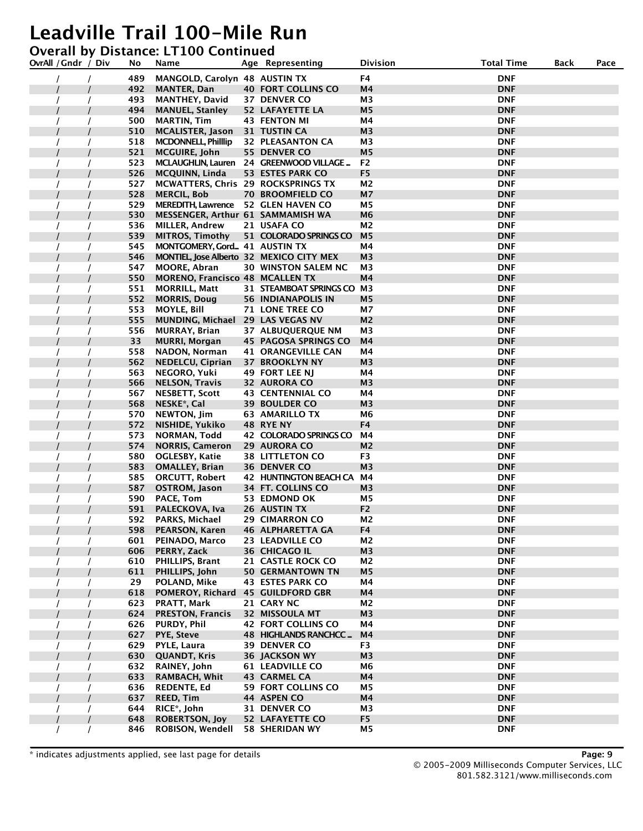#### **Overall by Distance: LT100 Continued**

| OvrAll / Gndr / Div |  | No         | Name                                      | Age Representing                                  | Division             | <b>Total Time</b>        | Back | Pace |
|---------------------|--|------------|-------------------------------------------|---------------------------------------------------|----------------------|--------------------------|------|------|
|                     |  | 489        | <b>MANGOLD, Carolyn 48 AUSTIN TX</b>      |                                                   | F4                   | <b>DNF</b>               |      |      |
|                     |  | 492        | <b>MANTER, Dan</b>                        | <b>40 FORT COLLINS CO</b>                         | M4                   | <b>DNF</b>               |      |      |
|                     |  | 493        | <b>MANTHEY, David</b>                     | 37 DENVER CO                                      | M <sub>3</sub>       | <b>DNF</b>               |      |      |
|                     |  | 494        | <b>MANUEL, Stanley</b>                    | <b>52 LAFAYETTE LA</b>                            | M5                   | <b>DNF</b>               |      |      |
|                     |  | 500        | <b>MARTIN, Tim</b>                        | <b>43 FENTON MI</b>                               | Μ4                   | DNF                      |      |      |
|                     |  | 510        | <b>MCALISTER, Jason</b>                   | 31 TUSTIN CA                                      | M <sub>3</sub>       | <b>DNF</b>               |      |      |
|                     |  | 518        | <b>MCDONNELL, Phillip</b>                 | <b>32 PLEASANTON CA</b>                           | M3                   | <b>DNF</b>               |      |      |
|                     |  | 521        | <b>MCGUIRE, John</b>                      | 55 DENVER CO                                      | M <sub>5</sub>       | <b>DNF</b>               |      |      |
|                     |  | 523        |                                           | MCLAUGHLIN, Lauren 24 GREENWOOD VILLAGE           | F <sub>2</sub>       | <b>DNF</b>               |      |      |
|                     |  | 526        | <b>MCQUINN, Linda</b>                     | 53 ESTES PARK CO                                  | F <sub>5</sub>       | <b>DNF</b>               |      |      |
|                     |  | 527        | <b>MCWATTERS, Chris 29 ROCKSPRINGS TX</b> |                                                   | M <sub>2</sub>       | DNF                      |      |      |
|                     |  | 528        | <b>MERCIL, Bob</b>                        | <b>70 BROOMFIELD CO</b>                           | M7                   | <b>DNF</b>               |      |      |
|                     |  | 529        | MEREDITH, Lawrence 52 GLEN HAVEN CO       |                                                   | М5                   | <b>DNF</b>               |      |      |
|                     |  | 530        | MESSENGER, Arthur 61 SAMMAMISH WA         |                                                   | M6                   | <b>DNF</b>               |      |      |
|                     |  | 536        | <b>MILLER, Andrew</b>                     | 21 USAFA CO                                       | M <sub>2</sub>       | <b>DNF</b>               |      |      |
|                     |  | 539        | <b>MITROS, Timothy</b>                    | 51 COLORADO SPRINGS CO                            | M <sub>5</sub>       | <b>DNF</b>               |      |      |
|                     |  | 545        | MONTGOMERY, Gord 41 AUSTIN TX             |                                                   | Μ4                   | DNF                      |      |      |
|                     |  | 546        | MONTIEL, Jose Alberto 32 MEXICO CITY MEX  |                                                   | M <sub>3</sub>       | <b>DNF</b>               |      |      |
|                     |  | 547        | <b>MOORE, Abran</b>                       | <b>30 WINSTON SALEM NC</b>                        | M3                   | <b>DNF</b>               |      |      |
|                     |  | 550        | <b>MORENO, Francisco 48 MCALLEN TX</b>    |                                                   | M4                   | <b>DNF</b>               |      |      |
|                     |  | 551        | <b>MORRILL, Matt</b>                      | 31 STEAMBOAT SPRINGS CO M3                        |                      | <b>DNF</b>               |      |      |
|                     |  | 552        | <b>MORRIS, Doug</b>                       | <b>56 INDIANAPOLIS IN</b>                         | M <sub>5</sub>       | <b>DNF</b>               |      |      |
|                     |  | 553        | <b>MOYLE, Bill</b>                        | <b>71 LONE TREE CO</b>                            | М7                   | DNF                      |      |      |
|                     |  | 555        | MUNDING, Michael 29 LAS VEGAS NV          |                                                   | M <sub>2</sub>       | <b>DNF</b>               |      |      |
|                     |  | 556        | <b>MURRAY, Brian</b>                      | 37 ALBUQUERQUE NM                                 | M3                   | <b>DNF</b>               |      |      |
|                     |  | 33         | <b>MURRI, Morgan</b>                      | <b>45 PAGOSA SPRINGS CO</b>                       | M4                   | <b>DNF</b>               |      |      |
|                     |  | 558        | NADON, Norman                             | 41 ORANGEVILLE CAN                                | Μ4                   | <b>DNF</b>               |      |      |
|                     |  | 562        | <b>NEDELCU, Ciprian</b>                   | <b>37 BROOKLYN NY</b>                             | M3                   | <b>DNF</b>               |      |      |
|                     |  | 563        | NEGORO, Yuki                              | 49 FORT LEE NJ                                    | M4                   | DNF                      |      |      |
|                     |  | 566        | <b>NELSON, Travis</b>                     | <b>32 AURORA CO</b>                               | M <sub>3</sub>       | <b>DNF</b>               |      |      |
|                     |  | 567        | <b>NESBETT, Scott</b>                     | <b>43 CENTENNIAL CO</b>                           | M4                   | DNF                      |      |      |
|                     |  | 568        | NESKE <sup>*</sup> , Cal                  | <b>39 BOULDER CO</b>                              | M3                   | <b>DNF</b>               |      |      |
|                     |  | 570        | NEWTON, Jim                               | <b>63 AMARILLO TX</b>                             | M <sub>6</sub>       | <b>DNF</b>               |      |      |
|                     |  | 572        | NISHIDE, Yukiko                           | 48 RYE NY                                         | F4                   | <b>DNF</b>               |      |      |
|                     |  | 573        | NORMAN, Todd                              | 42 COLORADO SPRINGS CO                            | M4                   | DNF                      |      |      |
|                     |  | 574        | <b>NORRIS, Cameron</b>                    | <b>29 AURORA CO</b>                               | M <sub>2</sub>       | <b>DNF</b>               |      |      |
|                     |  | 580        | OGLESBY, Katie                            | <b>38 LITTLETON CO</b>                            | F3                   | DNF                      |      |      |
|                     |  | 583        | <b>OMALLEY, Brian</b>                     | <b>36 DENVER CO</b>                               | M3                   | <b>DNF</b>               |      |      |
|                     |  | 585        | <b>ORCUTT, Robert</b>                     | 42 HUNTINGTON BEACH CA                            | М4                   | <b>DNF</b>               |      |      |
|                     |  | 587        | <b>OSTROM, Jason</b>                      | 34 FT. COLLINS CO                                 | M <sub>3</sub>       | <b>DNF</b>               |      |      |
|                     |  | 590        | PACE, Tom                                 | 53 EDMOND OK                                      | M5                   | DNF                      |      |      |
|                     |  | 591        | PALECKOVA, Iva                            | 26 AUSTIN TX                                      | F <sub>2</sub>       | <b>DNF</b>               |      |      |
|                     |  | 592        | <b>PARKS, Michael</b>                     | <b>29 CIMARRON CO</b>                             | M2                   | DNF                      |      |      |
|                     |  | 598        | PEARSON, Karen                            | 46 ALPHARETTA GA                                  | F4                   | <b>DNF</b>               |      |      |
|                     |  | 601        | PEINADO, Marco                            | 23 LEADVILLE CO                                   | M2                   | <b>DNF</b>               |      |      |
|                     |  | 606        | PERRY, Zack                               | 36 CHICAGO IL                                     | M3                   | <b>DNF</b>               |      |      |
|                     |  | 610        | PHILLIPS, Brant                           | 21 CASTLE ROCK CO                                 | M2                   | <b>DNF</b>               |      |      |
|                     |  | 611        | PHILLIPS, John                            | <b>50 GERMANTOWN TN</b>                           | M <sub>5</sub>       | <b>DNF</b>               |      |      |
|                     |  | 29         | POLAND, Mike                              | 43 ESTES PARK CO                                  | М4                   | <b>DNF</b>               |      |      |
|                     |  | 618        | POMEROY, Richard                          | <b>45 GUILDFORD GBR</b>                           | M4                   | <b>DNF</b>               |      |      |
|                     |  | 623<br>624 | PRATT, Mark                               | 21 CARY NC<br>32 MISSOULA MT                      | M2                   | <b>DNF</b>               |      |      |
|                     |  |            | <b>PRESTON, Francis</b>                   |                                                   | M3                   | <b>DNF</b>               |      |      |
|                     |  | 626<br>627 | PURDY, Phil<br><b>PYE, Steve</b>          | <b>42 FORT COLLINS CO</b><br>48 HIGHLANDS RANCHCC | Μ4<br>M <sub>4</sub> | <b>DNF</b><br><b>DNF</b> |      |      |
|                     |  |            |                                           |                                                   |                      |                          |      |      |
|                     |  | 629        | PYLE, Laura                               | 39 DENVER CO                                      | F <sub>3</sub>       | <b>DNF</b><br><b>DNF</b> |      |      |
|                     |  | 630<br>632 | <b>QUANDT, Kris</b>                       | <b>36 JACKSON WY</b><br><b>61 LEADVILLE CO</b>    | M3<br>M <sub>6</sub> | <b>DNF</b>               |      |      |
|                     |  | 633        | RAINEY, John<br><b>RAMBACH, Whit</b>      | <b>43 CARMEL CA</b>                               | M4                   | <b>DNF</b>               |      |      |
|                     |  | 636        | <b>REDENTE, Ed</b>                        | <b>59 FORT COLLINS CO</b>                         | М5                   | <b>DNF</b>               |      |      |
|                     |  | 637        | <b>REED, Tim</b>                          | 44 ASPEN CO                                       | M4                   | <b>DNF</b>               |      |      |
|                     |  | 644        | RICE*, John                               | 31 DENVER CO                                      | M3                   | <b>DNF</b>               |      |      |
|                     |  | 648        | <b>ROBERTSON, Joy</b>                     | <b>52 LAFAYETTE CO</b>                            | F <sub>5</sub>       | <b>DNF</b>               |      |      |
|                     |  | 846        | <b>ROBISON, Wendell</b>                   | 58 SHERIDAN WY                                    | M5                   | <b>DNF</b>               |      |      |
|                     |  |            |                                           |                                                   |                      |                          |      |      |

\* indicates adjustments applied, see last page for details **Page: 9**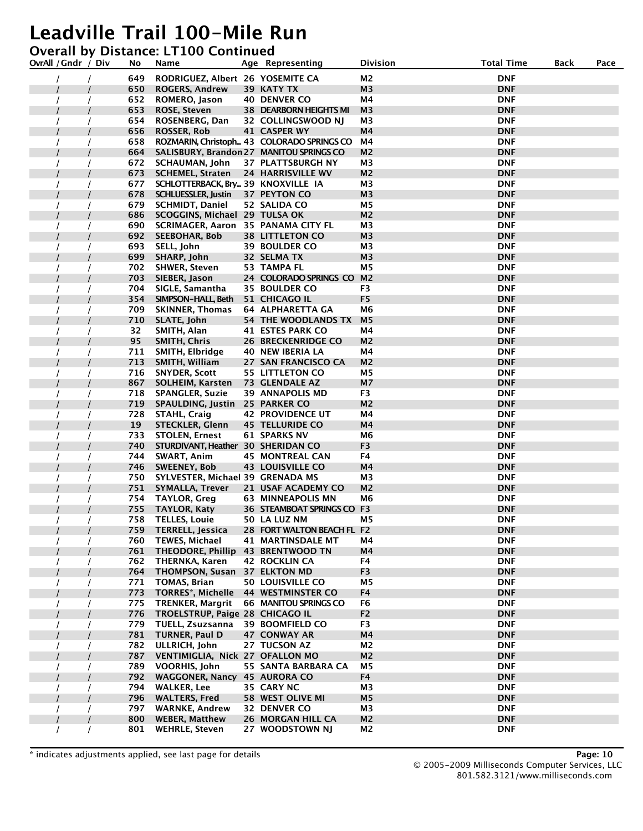#### **Overall by Distance: LT100 Continued**

| OvrAll / Gndr / Div | No  | Name                                     | Age Representing                           | <b>Division</b> | <b>Total Time</b> | <b>Back</b> | Pace |
|---------------------|-----|------------------------------------------|--------------------------------------------|-----------------|-------------------|-------------|------|
|                     | 649 | RODRIGUEZ, Albert 26 YOSEMITE CA         |                                            | M <sub>2</sub>  | <b>DNF</b>        |             |      |
|                     | 650 | <b>ROGERS, Andrew</b>                    | 39 KATY TX                                 | M3              | <b>DNF</b>        |             |      |
|                     | 652 | ROMERO, Jason                            | <b>40 DENVER CO</b>                        | Μ4              | DNF               |             |      |
|                     | 653 | <b>ROSE, Steven</b>                      | <b>38 DEARBORN HEIGHTS MI</b>              | M <sub>3</sub>  | <b>DNF</b>        |             |      |
|                     | 654 | ROSENBERG, Dan                           | 32 COLLINGSWOOD NJ                         | M3              | <b>DNF</b>        |             |      |
|                     | 656 | <b>ROSSER, Rob</b>                       | 41 CASPER WY                               | M4              | <b>DNF</b>        |             |      |
|                     | 658 |                                          | ROZMARIN, Christoph 43 COLORADO SPRINGS CO | М4              | <b>DNF</b>        |             |      |
|                     | 664 | SALISBURY, Brandon 27 MANITOU SPRINGS CO |                                            | M2              | <b>DNF</b>        |             |      |
|                     | 672 | <b>SCHAUMAN, John</b>                    | 37 PLATTSBURGH NY                          | M3              | DNF               |             |      |
|                     | 673 | <b>SCHEMEL, Straten</b>                  | <b>24 HARRISVILLE WV</b>                   | M <sub>2</sub>  | <b>DNF</b>        |             |      |
|                     | 677 | SCHLOTTERBACK, Bry 39 KNOXVILLE IA       |                                            | M3              | <b>DNF</b>        |             |      |
|                     | 678 | <b>SCHLUESSLER, Justin</b>               | 37 PEYTON CO                               | M <sub>3</sub>  | <b>DNF</b>        |             |      |
|                     | 679 | <b>SCHMIDT, Daniel</b>                   | 52 SALIDA CO                               | M <sub>5</sub>  | <b>DNF</b>        |             |      |
|                     | 686 | SCOGGINS, Michael 29 TULSA OK            |                                            | M2              | <b>DNF</b>        |             |      |
|                     | 690 | SCRIMAGER, Aaron 35 PANAMA CITY FL       |                                            | M3              | DNF               |             |      |
|                     | 692 | <b>SEEBOHAR, Bob</b>                     | <b>38 LITTLETON CO</b>                     | M <sub>3</sub>  | <b>DNF</b>        |             |      |
|                     | 693 | SELL, John                               | <b>39 BOULDER CO</b>                       | ΜЗ              | <b>DNF</b>        |             |      |
|                     | 699 | SHARP, John                              | 32 SELMA TX                                | M <sub>3</sub>  | <b>DNF</b>        |             |      |
|                     | 702 | <b>SHWER, Steven</b>                     | 53 TAMPA FL                                | M5              | <b>DNF</b>        |             |      |
|                     | 703 | SIEBER, Jason                            | 24 COLORADO SPRINGS CO M2                  |                 | <b>DNF</b>        |             |      |
|                     | 704 | SIGLE, Samantha                          | <b>35 BOULDER CO</b>                       | F3              | DNF               |             |      |
|                     | 354 | SIMPSON-HALL, Beth                       | 51 CHICAGO IL                              | F <sub>5</sub>  | <b>DNF</b>        |             |      |
|                     | 709 | <b>SKINNER, Thomas</b>                   | 64 ALPHARETTA GA                           | M6              | <b>DNF</b>        |             |      |
|                     | 710 | SLATE, John                              | 54 THE WOODLANDS TX                        | M <sub>5</sub>  | <b>DNF</b>        |             |      |
|                     | 32  | SMITH, Alan                              | 41 ESTES PARK CO                           | Μ4              | <b>DNF</b>        |             |      |
|                     | 95  | <b>SMITH, Chris</b>                      | <b>26 BRECKENRIDGE CO</b>                  | M2              | <b>DNF</b>        |             |      |
|                     | 711 | SMITH, Elbridge                          | 40 NEW IBERIA LA                           | M4              | DNF               |             |      |
|                     | 713 | SMITH, William                           | 27 SAN FRANCISCO CA                        | M <sub>2</sub>  | <b>DNF</b>        |             |      |
|                     | 716 | <b>SNYDER, Scott</b>                     | 55 LITTLETON CO                            | M5              | <b>DNF</b>        |             |      |
|                     | 867 | <b>SOLHEIM, Karsten</b>                  | 73 GLENDALE AZ                             | M7              | <b>DNF</b>        |             |      |
|                     | 718 | <b>SPANGLER, Suzie</b>                   | 39 ANNAPOLIS MD                            | F3              | <b>DNF</b>        |             |      |
|                     | 719 | <b>SPAULDING, Justin</b>                 | 25 PARKER CO                               | M2              | <b>DNF</b>        |             |      |
|                     | 728 | <b>STAHL, Craig</b>                      | <b>42 PROVIDENCE UT</b>                    | M4              | DNF               |             |      |
|                     | 19  | <b>STECKLER, Glenn</b>                   | <b>45 TELLURIDE CO</b>                     | M4              | <b>DNF</b>        |             |      |
|                     | 733 | <b>STOLEN, Ernest</b>                    | <b>61 SPARKS NV</b>                        | M6              | <b>DNF</b>        |             |      |
|                     | 740 | STURDIVANT, Heather 30 SHERIDAN CO       |                                            | F <sub>3</sub>  | <b>DNF</b>        |             |      |
|                     | 744 | SWART, Anim                              | <b>45 MONTREAL CAN</b>                     | F4              | DNF               |             |      |
|                     | 746 | <b>SWEENEY, Bob</b>                      | <b>43 LOUISVILLE CO</b>                    | M4              | <b>DNF</b>        |             |      |
|                     | 750 | SYLVESTER, Michael 39 GRENADA MS         |                                            | M <sub>3</sub>  | DNF               |             |      |
|                     | 751 | <b>SYMALLA, Trever</b>                   | 21 USAF ACADEMY CO                         | M <sub>2</sub>  | <b>DNF</b>        |             |      |
|                     | 754 | <b>TAYLOR, Greg</b>                      | <b>63 MINNEAPOLIS MN</b>                   | M6              | <b>DNF</b>        |             |      |
|                     | 755 | <b>TAYLOR, Katy</b>                      | 36 STEAMBOAT SPRINGS CO F3                 |                 | <b>DNF</b>        |             |      |
|                     | 758 | <b>TELLES, Louie</b>                     | 50 LA LUZ NM                               | M5              | DNF               |             |      |
|                     | 759 | <b>TERRELL, Jessica</b>                  | 28 FORT WALTON BEACH FL F2                 |                 | <b>DNF</b>        |             |      |
|                     | 760 | <b>TEWES, Michael</b>                    | 41 MARTINSDALE MT                          | М4              | <b>DNF</b>        |             |      |
|                     | 761 | THEODORE, Phillip 43 BRENTWOOD TN        |                                            | M <sub>4</sub>  | <b>DNF</b>        |             |      |
|                     | 762 | <b>THERNKA, Karen</b>                    | <b>42 ROCKLIN CA</b>                       | F4              | <b>DNF</b>        |             |      |
|                     | 764 | THOMPSON, Susan 37 ELKTON MD             |                                            | F <sub>3</sub>  | <b>DNF</b>        |             |      |
|                     | 771 | <b>TOMAS, Brian</b>                      | <b>50 LOUISVILLE CO</b>                    | M5              | <b>DNF</b>        |             |      |
|                     | 773 | <b>TORRES*, Michelle</b>                 | <b>44 WESTMINSTER CO</b>                   | F4              | <b>DNF</b>        |             |      |
|                     | 775 | <b>TRENKER, Margrit</b>                  | 66 MANITOU SPRINGS CO                      | F6              | <b>DNF</b>        |             |      |
|                     | 776 | TROELSTRUP, Paige 28 CHICAGO IL          |                                            | F <sub>2</sub>  | <b>DNF</b>        |             |      |
|                     | 779 | TUELL, Zsuzsanna                         | <b>39 BOOMFIELD CO</b>                     | F3              | <b>DNF</b>        |             |      |
|                     | 781 | <b>TURNER, Paul D</b>                    | 47 CONWAY AR                               | M4              | <b>DNF</b>        |             |      |
|                     | 782 | ULLRICH, John                            | 27 TUCSON AZ                               | M <sub>2</sub>  | <b>DNF</b>        |             |      |
|                     | 787 | VENTIMIGLIA, Nick 27 OFALLON MO          |                                            | M <sub>2</sub>  | <b>DNF</b>        |             |      |
|                     | 789 | <b>VOORHIS, John</b>                     | 55 SANTA BARBARA CA                        | M5              | <b>DNF</b>        |             |      |
|                     | 792 | WAGGONER, Nancy 45 AURORA CO             |                                            | F4              | <b>DNF</b>        |             |      |
|                     | 794 | <b>WALKER, Lee</b>                       | 35 CARY NC                                 | М3              | <b>DNF</b>        |             |      |
|                     | 796 | <b>WALTERS, Fred</b>                     | 58 WEST OLIVE MI                           | M <sub>5</sub>  | <b>DNF</b>        |             |      |
|                     | 797 | <b>WARNKE, Andrew</b>                    | 32 DENVER CO                               | M <sub>3</sub>  | <b>DNF</b>        |             |      |
|                     | 800 | <b>WEBER, Matthew</b>                    | <b>26 MORGAN HILL CA</b>                   | M <sub>2</sub>  | <b>DNF</b>        |             |      |
|                     | 801 | <b>WEHRLE, Steven</b>                    | 27 WOODSTOWN NJ                            | M2              | <b>DNF</b>        |             |      |

\* indicates adjustments applied, see last page for details **Page: 10**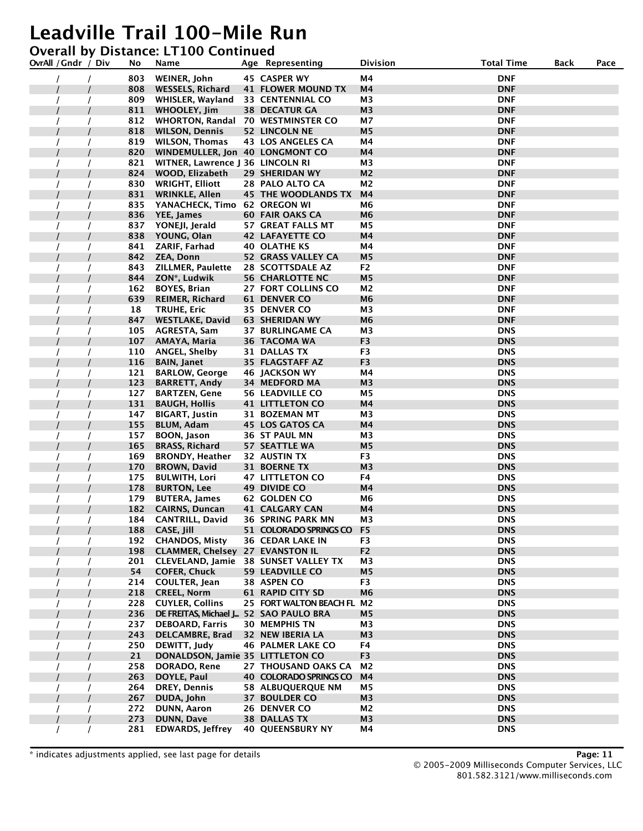### **Overall by Distance: LT100 Continued**

| OvrAll / Gndr / Div | No         | Name                                         | Age Representing                                 | Division             | <b>Total Time</b>        | Back | Pace |
|---------------------|------------|----------------------------------------------|--------------------------------------------------|----------------------|--------------------------|------|------|
|                     | 803        | WEINER, John                                 | 45 CASPER WY                                     | M4                   | <b>DNF</b>               |      |      |
|                     | 808        | <b>WESSELS, Richard</b>                      | <b>41 FLOWER MOUND TX</b>                        | M4                   | <b>DNF</b>               |      |      |
|                     | 809        | WHISLER, Wayland                             | <b>33 CENTENNIAL CO</b>                          | M3                   | <b>DNF</b>               |      |      |
|                     | 811        | <b>WHOOLEY, Jim</b>                          | <b>38 DECATUR GA</b>                             | M3                   | <b>DNF</b>               |      |      |
|                     | 812        | WHORTON, Randal 70 WESTMINSTER CO            |                                                  | М7                   | <b>DNF</b>               |      |      |
|                     | 818        | <b>WILSON, Dennis</b>                        | <b>52 LINCOLN NE</b>                             | M <sub>5</sub>       | <b>DNF</b>               |      |      |
|                     | 819        | WILSON, Thomas                               | 43 LOS ANGELES CA                                | M4                   | <b>DNF</b>               |      |      |
|                     | 820        | WINDEMULLER, Jon 40 LONGMONT CO              |                                                  | M4                   | <b>DNF</b>               |      |      |
|                     | 821        | WITNER, Lawrence J 36 LINCOLN RI             |                                                  | M3                   | <b>DNF</b>               |      |      |
|                     | 824        | WOOD, Elizabeth                              | 29 SHERIDAN WY                                   | M2                   | <b>DNF</b>               |      |      |
|                     | 830        | <b>WRIGHT, Elliott</b>                       | 28 PALO ALTO CA                                  | М2                   | <b>DNF</b>               |      |      |
|                     | 831        | <b>WRINKLE, Allen</b>                        | <b>45 THE WOODLANDS TX</b>                       | M4                   | <b>DNF</b>               |      |      |
|                     | 835        | YANACHECK, Timo 62 OREGON WI                 |                                                  | М6                   | <b>DNF</b>               |      |      |
|                     | 836        | YEE, James                                   | <b>60 FAIR OAKS CA</b>                           | M6                   | <b>DNF</b>               |      |      |
|                     | 837        | YONEJI, Jerald                               | 57 GREAT FALLS MT                                | M5                   | <b>DNF</b>               |      |      |
|                     | 838        | YOUNG, Olan                                  | <b>42 LAFAYETTE CO</b>                           | M4                   | <b>DNF</b>               |      |      |
|                     | 841        | ZARIF, Farhad                                | <b>40 OLATHE KS</b>                              | Μ4                   | <b>DNF</b>               |      |      |
|                     | 842        | <b>ZEA, Donn</b>                             | 52 GRASS VALLEY CA                               | M <sub>5</sub>       | <b>DNF</b>               |      |      |
|                     | 843        | <b>ZILLMER, Paulette</b>                     | 28 SCOTTSDALE AZ                                 | F2                   | <b>DNF</b>               |      |      |
|                     | 844        | ZON*, Ludwik                                 | <b>56 CHARLOTTE NC</b>                           | M <sub>5</sub>       | <b>DNF</b>               |      |      |
|                     | 162        | <b>BOYES, Brian</b>                          | 27 FORT COLLINS CO                               | M <sub>2</sub>       | <b>DNF</b>               |      |      |
|                     | 639        | <b>REIMER, Richard</b>                       | <b>61 DENVER CO</b>                              | M <sub>6</sub>       | <b>DNF</b>               |      |      |
|                     | 18         | TRUHE, Eric                                  | 35 DENVER CO                                     | ΜЗ                   | <b>DNF</b>               |      |      |
|                     | 847        | <b>WESTLAKE, David</b>                       | <b>63 SHERIDAN WY</b>                            | M <sub>6</sub>       | <b>DNF</b>               |      |      |
|                     | 105        | AGRESTA, Sam                                 | <b>37 BURLINGAME CA</b>                          | M3                   | <b>DNS</b>               |      |      |
|                     | 107        | AMAYA, Maria                                 | 36 TACOMA WA                                     | F <sub>3</sub>       | <b>DNS</b>               |      |      |
|                     | 110        | <b>ANGEL, Shelby</b>                         | 31 DALLAS TX                                     | F3                   | <b>DNS</b>               |      |      |
|                     | 116        | <b>BAIN, Janet</b>                           | 35 FLAGSTAFF AZ                                  | F <sub>3</sub>       | <b>DNS</b>               |      |      |
|                     | 121        | <b>BARLOW, George</b>                        | 46 JACKSON WY                                    | Μ4                   | <b>DNS</b>               |      |      |
|                     | 123<br>127 | <b>BARRETT, Andy</b>                         | 34 MEDFORD MA                                    | M <sub>3</sub><br>Μ5 | <b>DNS</b><br><b>DNS</b> |      |      |
|                     | 131        | <b>BARTZEN, Gene</b><br><b>BAUGH, Hollis</b> | <b>56 LEADVILLE CO</b><br><b>41 LITTLETON CO</b> | M4                   | <b>DNS</b>               |      |      |
|                     | 147        | <b>BIGART, Justin</b>                        | 31 BOZEMAN MT                                    | M <sub>3</sub>       | <b>DNS</b>               |      |      |
|                     | 155        | <b>BLUM, Adam</b>                            | <b>45 LOS GATOS CA</b>                           | M4                   | <b>DNS</b>               |      |      |
|                     | 157        | BOON, Jason                                  | 36 ST PAUL MN                                    | ΜЗ                   | <b>DNS</b>               |      |      |
|                     | 165        | <b>BRASS, Richard</b>                        | 57 SEATTLE WA                                    | M <sub>5</sub>       | <b>DNS</b>               |      |      |
|                     | 169        | <b>BRONDY, Heather</b>                       | 32 AUSTIN TX                                     | F3                   | <b>DNS</b>               |      |      |
|                     | 170        | <b>BROWN, David</b>                          | 31 BOERNE TX                                     | M3                   | <b>DNS</b>               |      |      |
|                     | 175        | <b>BULWITH, Lori</b>                         | <b>47 LITTLETON CO</b>                           | F4                   | <b>DNS</b>               |      |      |
|                     | 178        | <b>BURTON, Lee</b>                           | <b>49 DIVIDE CO</b>                              | M4                   | <b>DNS</b>               |      |      |
|                     | 179        | <b>BUTERA, James</b>                         | 62 GOLDEN CO                                     | М6                   | <b>DNS</b>               |      |      |
|                     | 182        | <b>CAIRNS, Duncan</b>                        | <b>41 CALGARY CAN</b>                            | M4                   | <b>DNS</b>               |      |      |
|                     | 184        | <b>CANTRILL, David</b>                       | <b>36 SPRING PARK MN</b>                         | ΜЗ                   | <b>DNS</b>               |      |      |
|                     | 188        | CASE, Jill                                   | 51 COLORADO SPRINGS CO F5                        |                      | <b>DNS</b>               |      |      |
|                     | 192        | <b>CHANDOS, Misty</b>                        | <b>36 CEDAR LAKE IN</b>                          | F3                   | <b>DNS</b>               |      |      |
|                     | 198        | <b>CLAMMER, Chelsey 27 EVANSTON IL</b>       |                                                  | F <sub>2</sub>       | <b>DNS</b>               |      |      |
|                     | 201        | CLEVELAND, Jamie                             | <b>38 SUNSET VALLEY TX</b>                       | M3                   | <b>DNS</b>               |      |      |
|                     | 54         | <b>COFER, Chuck</b>                          | <b>59 LEADVILLE CO</b>                           | M5                   | <b>DNS</b>               |      |      |
|                     | 214        | COULTER, Jean                                | 38 ASPEN CO                                      | F <sub>3</sub>       | <b>DNS</b>               |      |      |
|                     | 218        | <b>CREEL, Norm</b>                           | <b>61 RAPID CITY SD</b>                          | M6                   | <b>DNS</b>               |      |      |
|                     | 228        | <b>CUYLER, Collins</b>                       | 25 FORT WALTON BEACH FL M2                       |                      | <b>DNS</b>               |      |      |
|                     | 236        | DE FREITAS, Michael J., 52 SAO PAULO BRA     |                                                  | М5                   | <b>DNS</b>               |      |      |
|                     | 237        | <b>DEBOARD, Farris</b>                       | <b>30 MEMPHIS TN</b>                             | M3                   | <b>DNS</b>               |      |      |
|                     | 243        | <b>DELCAMBRE, Brad</b>                       | 32 NEW IBERIA LA                                 | M <sub>3</sub>       | <b>DNS</b>               |      |      |
|                     | 250        | DEWITT, Judy                                 | <b>46 PALMER LAKE CO</b>                         | F4                   | <b>DNS</b>               |      |      |
|                     | 21         | DONALDSON, Jamie 35 LITTLETON CO             |                                                  | F <sub>3</sub>       | <b>DNS</b>               |      |      |
|                     | 258        | DORADO, Rene                                 | 27 THOUSAND OAKS CA                              | M <sub>2</sub>       | <b>DNS</b>               |      |      |
|                     | 263        | DOYLE, Paul                                  | 40 COLORADO SPRINGS CO                           | M4                   | <b>DNS</b>               |      |      |
|                     | 264        | DREY, Dennis                                 | <b>58 ALBUQUERQUE NM</b>                         | М5                   | <b>DNS</b>               |      |      |
|                     | 267        | DUDA, John                                   | 37 BOULDER CO                                    | M3                   | <b>DNS</b>               |      |      |
|                     | 272        | <b>DUNN, Aaron</b>                           | 26 DENVER CO                                     | M2                   | <b>DNS</b>               |      |      |
|                     | 273        | <b>DUNN, Dave</b>                            | <b>38 DALLAS TX</b>                              | M3                   | <b>DNS</b>               |      |      |
|                     | 281        | <b>EDWARDS, Jeffrey</b>                      | <b>40 QUEENSBURY NY</b>                          | M4                   | <b>DNS</b>               |      |      |

\* indicates adjustments applied, see last page for details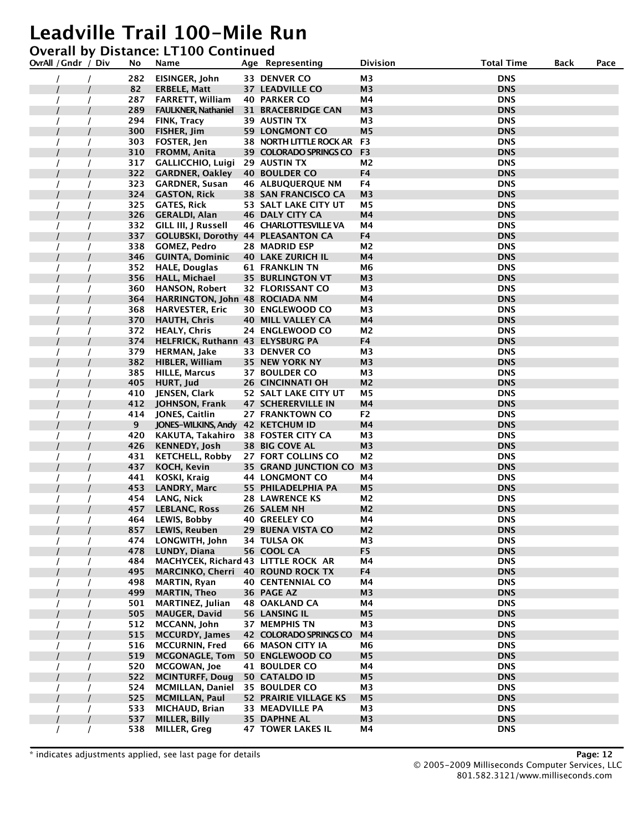#### **Overall by Distance: LT100 Continued**

| OvrAll / Gndr / Div | No  | Name                                      | Age Representing               | Division       | <b>Total Time</b> | Back | Pace |
|---------------------|-----|-------------------------------------------|--------------------------------|----------------|-------------------|------|------|
|                     | 282 | EISINGER, John                            | 33 DENVER CO                   | M <sub>3</sub> | <b>DNS</b>        |      |      |
|                     | 82  | <b>ERBELE, Matt</b>                       | <b>37 LEADVILLE CO</b>         | M3             | <b>DNS</b>        |      |      |
|                     | 287 | <b>FARRETT, William</b>                   | <b>40 PARKER CO</b>            | M4             | <b>DNS</b>        |      |      |
|                     | 289 | <b>FAULKNER, Nathaniel</b>                | <b>31 BRACEBRIDGE CAN</b>      | M <sub>3</sub> | <b>DNS</b>        |      |      |
|                     | 294 | FINK, Tracy                               | <b>39 AUSTIN TX</b>            | M3             | <b>DNS</b>        |      |      |
|                     | 300 | FISHER, Jim                               | <b>59 LONGMONT CO</b>          | M <sub>5</sub> | <b>DNS</b>        |      |      |
|                     | 303 | FOSTER, Jen                               | <b>38 NORTH LITTLE ROCK AR</b> | F3             | <b>DNS</b>        |      |      |
|                     | 310 | FROMM, Anita                              | 39 COLORADO SPRINGS CO         | F <sub>3</sub> | <b>DNS</b>        |      |      |
|                     | 317 | <b>GALLICCHIO, Luigi</b>                  | 29 AUSTIN TX                   | M <sub>2</sub> | <b>DNS</b>        |      |      |
|                     | 322 | <b>GARDNER, Oakley</b>                    | <b>40 BOULDER CO</b>           | F4             | <b>DNS</b>        |      |      |
|                     | 323 | <b>GARDNER, Susan</b>                     | <b>46 ALBUQUERQUE NM</b>       | F4             | <b>DNS</b>        |      |      |
|                     | 324 | <b>GASTON, Rick</b>                       | <b>38 SAN FRANCISCO CA</b>     | M <sub>3</sub> | <b>DNS</b>        |      |      |
|                     | 325 | <b>GATES, Rick</b>                        | 53 SALT LAKE CITY UT           | М5             | <b>DNS</b>        |      |      |
|                     | 326 | <b>GERALDI, Alan</b>                      | <b>46 DALY CITY CA</b>         | M4             | <b>DNS</b>        |      |      |
|                     | 332 | GILL III, J Russell                       | <b>46 CHARLOTTESVILLE VA</b>   | M4             | <b>DNS</b>        |      |      |
|                     | 337 | <b>GOLUBSKI, Dorothy 44 PLEASANTON CA</b> |                                | F4             | <b>DNS</b>        |      |      |
|                     | 338 | <b>GOMEZ, Pedro</b>                       | 28 MADRID ESP                  | M2             | <b>DNS</b>        |      |      |
|                     | 346 | <b>GUINTA, Dominic</b>                    | <b>40 LAKE ZURICH IL</b>       | M4             | <b>DNS</b>        |      |      |
|                     | 352 | <b>HALE, Douglas</b>                      | <b>61 FRANKLIN TN</b>          | M6             | <b>DNS</b>        |      |      |
|                     | 356 | <b>HALL, Michael</b>                      | <b>35 BURLINGTON VT</b>        | M3             | <b>DNS</b>        |      |      |
|                     | 360 | <b>HANSON, Robert</b>                     | 32 FLORISSANT CO               | M <sub>3</sub> | <b>DNS</b>        |      |      |
|                     | 364 | HARRINGTON, John 48 ROCIADA NM            |                                | M4             | <b>DNS</b>        |      |      |
|                     | 368 | <b>HARVESTER, Eric</b>                    | <b>30 ENGLEWOOD CO</b>         | M3             | <b>DNS</b>        |      |      |
|                     | 370 | <b>HAUTH, Chris</b>                       | <b>40 MILL VALLEY CA</b>       | M4             | <b>DNS</b>        |      |      |
|                     | 372 | <b>HEALY, Chris</b>                       | 24 ENGLEWOOD CO                | M2             | <b>DNS</b>        |      |      |
|                     | 374 | HELFRICK, Ruthann 43 ELYSBURG PA          |                                | F4             | <b>DNS</b>        |      |      |
|                     | 379 | <b>HERMAN, Jake</b>                       | 33 DENVER CO                   | M <sub>3</sub> | <b>DNS</b>        |      |      |
|                     | 382 | <b>HIBLER, William</b>                    | 35 NEW YORK NY                 | M <sub>3</sub> | <b>DNS</b>        |      |      |
|                     | 385 | <b>HILLE, Marcus</b>                      | <b>37 BOULDER CO</b>           | M3             | <b>DNS</b>        |      |      |
|                     | 405 | HURT, Jud                                 | <b>26 CINCINNATI OH</b>        | M <sub>2</sub> | <b>DNS</b>        |      |      |
|                     | 410 | JENSEN, Clark                             | 52 SALT LAKE CITY UT           | M <sub>5</sub> | <b>DNS</b>        |      |      |
|                     | 412 | JOHNSON, Frank                            | <b>47 SCHERERVILLE IN</b>      | M4             | <b>DNS</b>        |      |      |
|                     | 414 | JONES, Caitlin                            | 27 FRANKTOWN CO                | F <sub>2</sub> | <b>DNS</b>        |      |      |
|                     | 9   | JONES-WILKINS, Andy 42 KETCHUM ID         |                                | M4             | <b>DNS</b>        |      |      |
|                     | 420 | KAKUTA, Takahiro 38 FOSTER CITY CA        |                                | M3             | <b>DNS</b>        |      |      |
|                     | 426 | <b>KENNEDY, Josh</b>                      | <b>38 BIG COVE AL</b>          | M <sub>3</sub> | <b>DNS</b>        |      |      |
|                     | 431 | <b>KETCHELL, Robby</b>                    | 27 FORT COLLINS CO             | M2             | <b>DNS</b>        |      |      |
|                     | 437 | KOCH, Kevin                               | 35 GRAND JUNCTION CO           | M <sub>3</sub> | <b>DNS</b>        |      |      |
|                     | 441 | <b>KOSKI, Kraig</b>                       | <b>44 LONGMONT CO</b>          | M4             | <b>DNS</b>        |      |      |
|                     | 453 | <b>LANDRY, Marc</b>                       | 55 PHILADELPHIA PA             | M <sub>5</sub> | <b>DNS</b>        |      |      |
|                     | 454 | LANG, Nick                                | <b>28 LAWRENCE KS</b>          | M2             | <b>DNS</b>        |      |      |
|                     | 457 | <b>LEBLANC, Ross</b>                      | 26 SALEM NH                    | M <sub>2</sub> | <b>DNS</b>        |      |      |
|                     | 464 | LEWIS, Bobby                              | <b>40 GREELEY CO</b>           | M4             | <b>DNS</b>        |      |      |
|                     | 857 | <b>LEWIS, Reuben</b>                      | 29 BUENA VISTA CO              | M <sub>2</sub> | <b>DNS</b>        |      |      |
|                     | 474 | LONGWITH, John                            | 34 TULSA OK                    | M3             | <b>DNS</b>        |      |      |
|                     | 478 | LUNDY, Diana                              | 56 COOL CA                     | F <sub>5</sub> | <b>DNS</b>        |      |      |
|                     | 484 | MACHYCEK, Richard 43 LITTLE ROCK AR       |                                | Μ4             | <b>DNS</b>        |      |      |
|                     | 495 | MARCINKO, Cherri 40 ROUND ROCK TX         |                                | F4             | <b>DNS</b>        |      |      |
|                     | 498 | <b>MARTIN, Ryan</b>                       | <b>40 CENTENNIAL CO</b>        | M4             | <b>DNS</b>        |      |      |
|                     | 499 | <b>MARTIN, Theo</b>                       | 36 PAGE AZ                     | M3             | <b>DNS</b>        |      |      |
|                     | 501 | <b>MARTINEZ, Julian</b>                   | <b>48 OAKLAND CA</b>           | M4             | <b>DNS</b>        |      |      |
|                     | 505 | <b>MAUGER, David</b>                      | <b>56 LANSING IL</b>           | M <sub>5</sub> | <b>DNS</b>        |      |      |
|                     | 512 | MCCANN, John                              | <b>37 MEMPHIS TN</b>           | М3             | <b>DNS</b>        |      |      |
|                     | 515 | <b>MCCURDY, James</b>                     | <b>42 COLORADO SPRINGS CO</b>  | M <sub>4</sub> | <b>DNS</b>        |      |      |
|                     | 516 | <b>MCCURNIN, Fred</b>                     | <b>66 MASON CITY IA</b>        | M <sub>6</sub> | <b>DNS</b>        |      |      |
|                     | 519 | <b>MCGONAGLE, Tom</b>                     | 50 ENGLEWOOD CO                | М5             | <b>DNS</b>        |      |      |
|                     | 520 | <b>MCGOWAN, Joe</b>                       | <b>41 BOULDER CO</b>           | M4             | <b>DNS</b>        |      |      |
|                     | 522 | <b>MCINTURFF, Doug</b>                    | 50 CATALDO ID                  | M <sub>5</sub> | <b>DNS</b>        |      |      |
|                     | 524 | <b>MCMILLAN, Daniel</b>                   | <b>35 BOULDER CO</b>           | М3             | <b>DNS</b>        |      |      |
|                     | 525 | <b>MCMILLAN, Paul</b>                     | <b>52 PRAIRIE VILLAGE KS</b>   | M <sub>5</sub> | <b>DNS</b>        |      |      |
|                     | 533 | <b>MICHAUD, Brian</b>                     | 33 MEADVILLE PA                | М3             | <b>DNS</b>        |      |      |
|                     | 537 | MILLER, Billy                             | <b>35 DAPHNE AL</b>            | M3             | <b>DNS</b>        |      |      |
|                     | 538 | <b>MILLER, Greg</b>                       | <b>47 TOWER LAKES IL</b>       | M4             | <b>DNS</b>        |      |      |

\* indicates adjustments applied, see last page for details **Page: 12**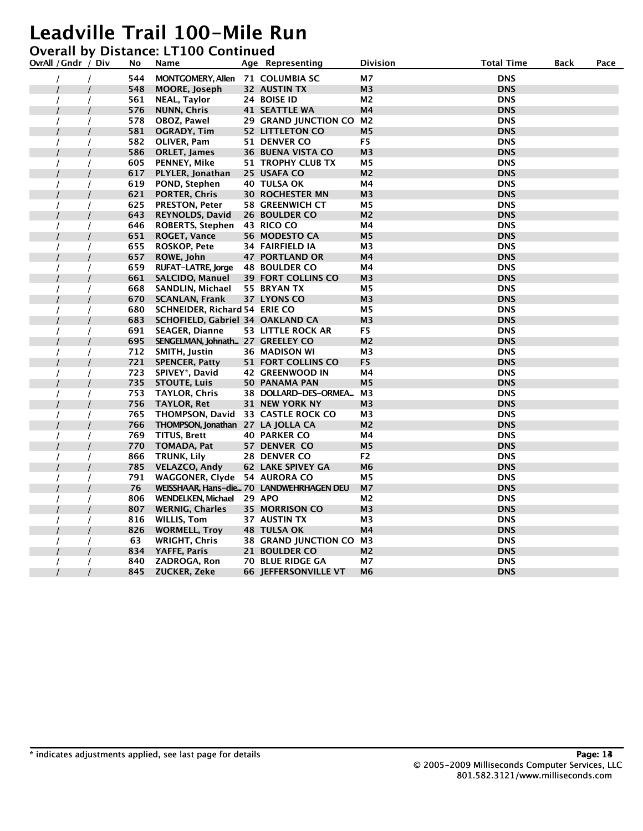|  | <b>Overall by Distance: LT100 Continued</b> |  |
|--|---------------------------------------------|--|
|--|---------------------------------------------|--|

| OvrAll / Gndr / Div | No  | Name                                 | Age Representing                         | Division       | <b>Total Time</b> | <b>Back</b> | Pace |
|---------------------|-----|--------------------------------------|------------------------------------------|----------------|-------------------|-------------|------|
|                     | 544 | MONTGOMERY, Allen 71 COLUMBIA SC     |                                          | M7             | <b>DNS</b>        |             |      |
|                     | 548 | <b>MOORE, Joseph</b>                 | 32 AUSTIN TX                             | M <sub>3</sub> | <b>DNS</b>        |             |      |
|                     | 561 | NEAL, Taylor                         | 24 BOISE ID                              | М2             | <b>DNS</b>        |             |      |
|                     | 576 | <b>NUNN, Chris</b>                   | <b>41 SEATTLE WA</b>                     | M4             | <b>DNS</b>        |             |      |
|                     | 578 | OBOZ, Pawel                          | 29 GRAND JUNCTION CO                     | M <sub>2</sub> | <b>DNS</b>        |             |      |
|                     | 581 | <b>OGRADY, Tim</b>                   | <b>52 LITTLETON CO</b>                   | M5             | <b>DNS</b>        |             |      |
|                     | 582 | OLIVER, Pam                          | 51 DENVER CO                             | F <sub>5</sub> | <b>DNS</b>        |             |      |
|                     | 586 | <b>ORLET, James</b>                  | <b>36 BUENA VISTA CO</b>                 | M <sub>3</sub> | <b>DNS</b>        |             |      |
|                     | 605 | <b>PENNEY, Mike</b>                  | <b>51 TROPHY CLUB TX</b>                 | M <sub>5</sub> | <b>DNS</b>        |             |      |
|                     | 617 | PLYLER, Jonathan                     | 25 USAFA CO                              | M2             | <b>DNS</b>        |             |      |
|                     | 619 | POND, Stephen                        | 40 TULSA OK                              | M4             | <b>DNS</b>        |             |      |
|                     | 621 | <b>PORTER, Chris</b>                 | <b>30 ROCHESTER MN</b>                   | M <sub>3</sub> | <b>DNS</b>        |             |      |
|                     | 625 | <b>PRESTON, Peter</b>                | <b>58 GREENWICH CT</b>                   | М5             | <b>DNS</b>        |             |      |
|                     | 643 | <b>REYNOLDS, David</b>               | <b>26 BOULDER CO</b>                     | M <sub>2</sub> | <b>DNS</b>        |             |      |
|                     | 646 | <b>ROBERTS, Stephen</b>              | 43 RICO CO                               | M4             | <b>DNS</b>        |             |      |
|                     | 651 | <b>ROGET, Vance</b>                  | 56 MODESTO CA                            | M <sub>5</sub> | <b>DNS</b>        |             |      |
|                     | 655 | <b>ROSKOP, Pete</b>                  | <b>34 FAIRFIELD IA</b>                   | M3             | <b>DNS</b>        |             |      |
|                     | 657 | ROWE, John                           | <b>47 PORTLAND OR</b>                    | M4             | <b>DNS</b>        |             |      |
|                     | 659 | <b>RUFAT-LATRE, Jorge</b>            | <b>48 BOULDER CO</b>                     | M4             | <b>DNS</b>        |             |      |
|                     | 661 | <b>SALCIDO, Manuel</b>               | <b>39 FORT COLLINS CO</b>                | M3             | <b>DNS</b>        |             |      |
|                     | 668 | SANDLIN, Michael                     | 55 BRYAN TX                              | M5             | <b>DNS</b>        |             |      |
|                     | 670 | <b>SCANLAN, Frank</b>                | 37 LYONS CO                              | M3             | <b>DNS</b>        |             |      |
|                     | 680 | <b>SCHNEIDER, Richard 54 ERIE CO</b> |                                          | М5             | <b>DNS</b>        |             |      |
|                     | 683 | SCHOFIELD, Gabriel 34 OAKLAND CA     |                                          | M <sub>3</sub> | <b>DNS</b>        |             |      |
|                     | 691 | <b>SEAGER, Dianne</b>                | 53 LITTLE ROCK AR                        | F5             | <b>DNS</b>        |             |      |
|                     | 695 | SENGELMAN, Johnath 27 GREELEY CO     |                                          | M <sub>2</sub> | <b>DNS</b>        |             |      |
|                     | 712 | SMITH, Justin                        | <b>36 MADISON WI</b>                     | M <sub>3</sub> | <b>DNS</b>        |             |      |
|                     | 721 | <b>SPENCER, Patty</b>                | <b>51 FORT COLLINS CO</b>                | F <sub>5</sub> | <b>DNS</b>        |             |      |
|                     | 723 | SPIVEY*, David                       | <b>42 GREENWOOD IN</b>                   | M4             | <b>DNS</b>        |             |      |
|                     | 735 | <b>STOUTE, Luis</b>                  | 50 PANAMA PAN                            | M <sub>5</sub> | <b>DNS</b>        |             |      |
|                     | 753 | <b>TAYLOR, Chris</b>                 | 38 DOLLARD-DES-ORMEA                     | M3             | <b>DNS</b>        |             |      |
|                     | 756 | <b>TAYLOR, Ret</b>                   | <b>31 NEW YORK NY</b>                    | M <sub>3</sub> | <b>DNS</b>        |             |      |
|                     | 765 | THOMPSON, David                      | <b>33 CASTLE ROCK CO</b>                 | M3             | <b>DNS</b>        |             |      |
|                     | 766 | THOMPSON, Jonathan 27 LA JOLLA CA    |                                          | M2             | <b>DNS</b>        |             |      |
|                     | 769 | TITUS, Brett                         | <b>40 PARKER CO</b>                      | M4             | <b>DNS</b>        |             |      |
|                     | 770 | <b>TOMADA, Pat</b>                   | 57 DENVER CO                             | M <sub>5</sub> | <b>DNS</b>        |             |      |
|                     | 866 | TRUNK, Lily                          | <b>28 DENVER CO</b>                      | F <sub>2</sub> | <b>DNS</b>        |             |      |
|                     | 785 | <b>VELAZCO, Andy</b>                 | <b>62 LAKE SPIVEY GA</b>                 | M <sub>6</sub> | <b>DNS</b>        |             |      |
|                     | 791 | WAGGONER, Clyde                      | 54 AURORA CO                             | Μ5             | <b>DNS</b>        |             |      |
|                     | 76  |                                      | WEISSHAAR, Hans-die 70 LANDWEHRHAGEN DEU | M <sub>7</sub> | <b>DNS</b>        |             |      |
|                     | 806 | <b>WENDELKEN, Michael</b>            | <b>29 APO</b>                            | М2             | <b>DNS</b>        |             |      |
|                     | 807 | <b>WERNIG, Charles</b>               | <b>35 MORRISON CO</b>                    | M3             | <b>DNS</b>        |             |      |
|                     | 816 | <b>WILLIS, Tom</b>                   | 37 AUSTIN TX                             | M3             | <b>DNS</b>        |             |      |
|                     | 826 | <b>WORMELL, Troy</b>                 | <b>48 TULSA OK</b>                       | M4             | <b>DNS</b>        |             |      |
|                     | 63  | <b>WRIGHT, Chris</b>                 | 38 GRAND JUNCTION CO M3                  |                | <b>DNS</b>        |             |      |
|                     | 834 | YAFFE, Paris                         | 21 BOULDER CO                            | M2             | <b>DNS</b>        |             |      |
|                     | 840 | ZADROGA, Ron                         | <b>70 BLUE RIDGE GA</b>                  | М7             | <b>DNS</b>        |             |      |
|                     | 845 | ZUCKER, Zeke                         | <b>66 JEFFERSONVILLE VT</b>              | M6             | <b>DNS</b>        |             |      |
|                     |     |                                      |                                          |                |                   |             |      |